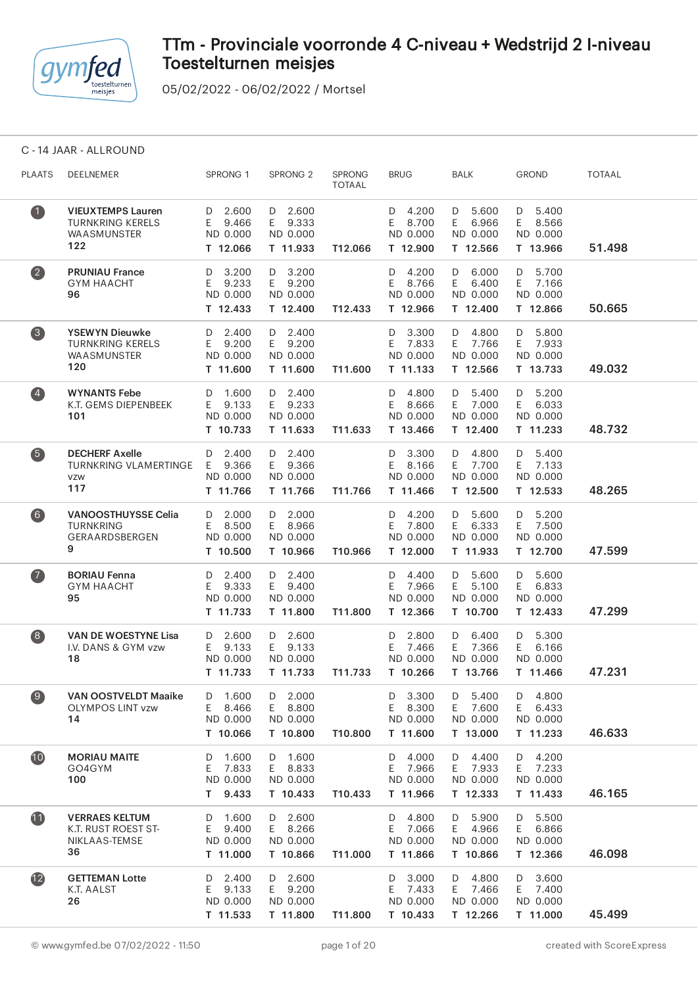

05/02/2022 - 06/02/2022 / Mortsel

C - 14 JAAR - ALLROUND

| <b>PLAATS</b>                                  | DEELNEMER                                                              | SPRONG 1                                            | SPRONG <sub>2</sub>                            | <b>SPRONG</b><br><b>TOTAAL</b> | <b>BRUG</b>                                       | BALK                                              | <b>GROND</b>                                      | <b>TOTAAL</b> |
|------------------------------------------------|------------------------------------------------------------------------|-----------------------------------------------------|------------------------------------------------|--------------------------------|---------------------------------------------------|---------------------------------------------------|---------------------------------------------------|---------------|
| $\mathbf 1$                                    | <b>VIEUXTEMPS Lauren</b><br>TURNKRING KERELS<br>WAASMUNSTER<br>122     | D 2.600<br>E 9.466<br>ND 0.000<br>T 12.066          | D 2.600<br>E 9.333<br>ND 0.000<br>T 11.933     | T12.066                        | D 4.200<br>E 8.700<br>ND 0.000<br>T 12.900        | D 5.600<br>E 6.966<br>ND 0.000<br>T 12.566        | $D = 5.400$<br>E 8.566<br>ND 0.000<br>T 13.966    | 51.498        |
| $\overline{\mathbf{2}}$                        | <b>PRUNIAU France</b><br><b>GYM HAACHT</b><br>96                       | D 3.200<br>E 9.233<br>ND 0.000<br>T 12.433          | $D$ 3.200<br>E 9.200<br>ND 0.000<br>T 12.400   | T12.433                        | D 4.200<br>E 8.766<br>ND 0.000<br>T 12.966        | D 6.000<br>E 6.400<br>ND 0.000<br>T 12.400        | D 5.700<br>E 7.166<br>ND 0.000<br>T 12.866        | 50.665        |
| $\bullet$                                      | <b>YSEWYN Dieuwke</b><br><b>TURNKRING KERELS</b><br>WAASMUNSTER<br>120 | D 2.400<br>E 9.200<br>ND 0.000<br>T 11.600          | D 2.400<br>E 9.200<br>ND 0.000<br>T 11.600     | T11.600                        | D 3.300<br>E 7.833<br>ND 0.000<br>T 11.133        | D 4.800<br>E 7.766<br>ND 0.000<br>T 12.566        | D 5.800<br>E 7.933<br>ND 0.000<br>T 13.733        | 49.032        |
| $\left( \begin{matrix} 4 \end{matrix} \right)$ | <b>WYNANTS Febe</b><br>K.T. GEMS DIEPENBEEK<br>101                     | D 1.600<br>E 9.133<br>ND 0.000<br>T 10.733          | D 2.400<br>E 9.233<br>ND 0.000<br>T 11.633     | T11.633                        | D 4.800<br>E 8.666<br>ND 0.000<br>T 13.466        | $D = 5.400$<br>E 7.000<br>ND 0.000<br>T 12.400    | $D = 5.200$<br>E 6.033<br>ND 0.000<br>T 11.233    | 48.732        |
| 6                                              | <b>DECHERF Axelle</b><br>TURNKRING VLAMERTINGE E 9.366<br>VZW<br>117   | $D = 2.400$<br>ND 0.000<br>T 11.766                 | $D = 2.400$<br>E 9.366<br>ND 0.000<br>T 11.766 | T11.766                        | D 3.300<br>E 8.166<br>ND 0.000<br>T 11.466        | D 4.800<br>E 7.700<br>ND 0.000<br>T 12.500        | $D = 5.400$<br>E 7.133<br>ND 0.000<br>T 12.533    | 48.265        |
| (6)                                            | <b>VANOOSTHUYSSE Celia</b><br><b>TURNKRING</b><br>GERAARDSBERGEN<br>9  | $D = 2.000$<br>E 8.500<br>ND 0.000<br>T 10.500      | D 2.000<br>E 8.966<br>ND 0.000<br>T 10.966     | T10.966                        | D 4.200<br>E 7.800<br>ND 0.000<br>T 12.000        | D 5.600<br>E 6.333<br>ND 0.000<br>T 11.933        | D 5.200<br>E 7.500<br>ND 0.000<br>T 12.700        | 47.599        |
| $\bullet$                                      | <b>BORIAU Fenna</b><br><b>GYM HAACHT</b><br>95                         | D 2.400<br>E 9.333<br>ND 0.000<br>T 11.733          | D 2.400<br>E 9.400<br>ND 0.000<br>T 11.800     | T11.800                        | D 4.400<br>E 7.966<br>ND 0.000<br>T 12.366        | D 5.600<br>E 5.100<br>ND 0.000<br>T 10.700        | D 5.600<br>6.833<br>E.<br>ND 0.000<br>T 12.433    | 47.299        |
| $\left( 8\right)$                              | <b>VAN DE WOESTYNE Lisa</b><br>I.V. DANS & GYM vzw<br>18               | $D$ 2.600<br>E 9.133<br>ND 0.000<br>T 11.733        | $D$ 2.600<br>E 9.133<br>ND 0.000<br>T 11.733   | T11.733                        | $D$ 2.800<br>E 7.466<br>ND 0.000<br>T 10.266      | $D$ 6.400<br>E 7.366<br>ND 0.000<br>T 13.766      | D 5.300<br>E 6.166<br>ND 0.000<br>T 11.466        | 47.231        |
| $\bullet$                                      | <b>VAN OOSTVELDT Maaike</b><br><b>OLYMPOS LINT vzw</b><br>14           | 1.600<br>D<br>E<br>8.466<br>ND 0.000<br>T 10.066    | 2.000<br>D<br>E 8.800<br>ND 0.000<br>T 10.800  | T10.800                        | 3.300<br>D<br>Ε<br>8.300<br>ND 0.000<br>T 11.600  | 5.400<br>D<br>E<br>7.600<br>ND 0.000<br>T 13.000  | 4.800<br>D<br>Ε<br>6.433<br>ND 0.000<br>T 11.233  | 46.633        |
| 10                                             | <b>MORIAU MAITE</b><br>GO4GYM<br>100                                   | 1.600<br>D<br>7.833<br>E<br>ND 0.000<br>9.433<br>T. | D 1.600<br>E 8.833<br>ND 0.000<br>T 10.433     | T10.433                        | 4.000<br>D<br>7.966<br>E<br>ND 0.000<br>T 11.966  | 4.400<br>D<br>7.933<br>E.<br>ND 0.000<br>T 12.333 | 4.200<br>D<br>7.233<br>E.<br>ND 0.000<br>T 11.433 | 46.165        |
| 1                                              | <b>VERRAES KELTUM</b><br>K.T. RUST ROEST ST-<br>NIKLAAS-TEMSE<br>36    | 1.600<br>D<br>9.400<br>E<br>ND 0.000<br>T 11.000    | D 2.600<br>E 8.266<br>ND 0.000<br>T 10.866     | T11.000                        | 4.800<br>D<br>7.066<br>E.<br>ND 0.000<br>T 11.866 | 5.900<br>D<br>4.966<br>E<br>ND 0.000<br>T 10.866  | 5.500<br>D<br>6.866<br>E<br>ND 0.000<br>T 12.366  | 46.098        |
| (12)                                           | <b>GETTEMAN Lotte</b><br>K.T. AALST<br>26                              | 2.400<br>D<br>E.<br>9.133<br>ND 0.000<br>T 11.533   | D 2.600<br>E 9.200<br>ND 0.000<br>T 11.800     | T11.800                        | 3.000<br>D<br>E<br>7.433<br>ND 0.000<br>T 10.433  | 4.800<br>D<br>Е<br>7.466<br>ND 0.000<br>T 12.266  | 3.600<br>D<br>E<br>7.400<br>ND 0.000<br>T 11.000  | 45.499        |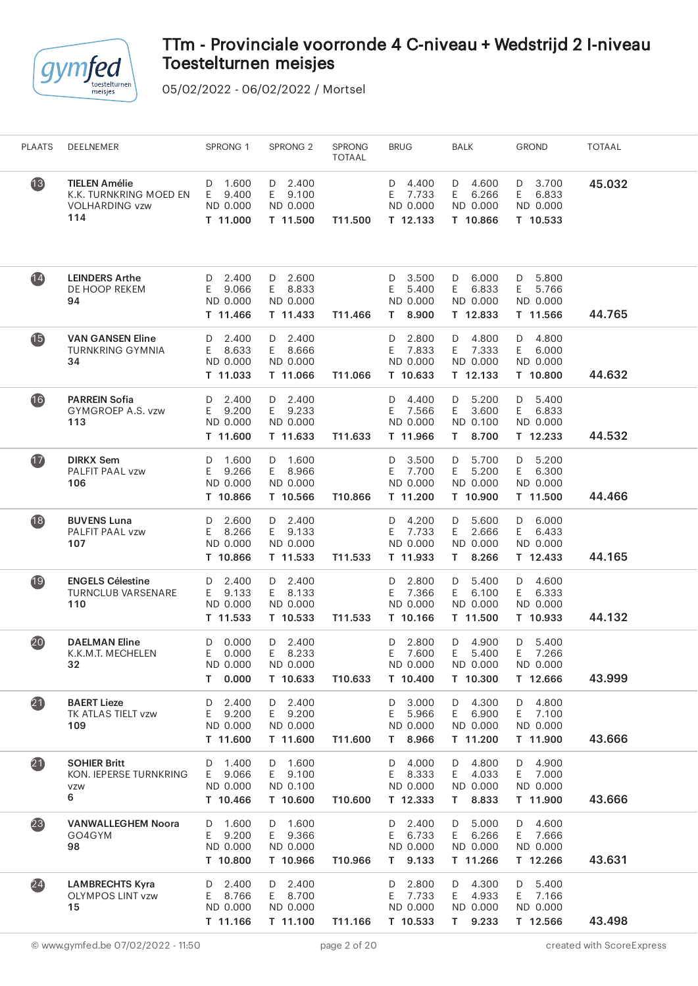

| <b>PLAATS</b>     | DEELNEMER                                                                      | SPRONG 1                                            | SPRONG <sub>2</sub>                               | <b>SPRONG</b><br><b>TOTAAL</b> | <b>BRUG</b>                                         | BALK                                                 | <b>GROND</b>                                      | <b>TOTAAL</b> |
|-------------------|--------------------------------------------------------------------------------|-----------------------------------------------------|---------------------------------------------------|--------------------------------|-----------------------------------------------------|------------------------------------------------------|---------------------------------------------------|---------------|
| $\overline{13}$   | <b>TIELEN Amélie</b><br>K.K. TURNKRING MOED EN<br><b>VOLHARDING vzw</b><br>114 | 1.600<br>D<br>9.400<br>E.<br>ND 0.000<br>T 11.000   | $D$ 2.400<br>E 9.100<br>ND 0.000<br>T 11.500      | T11.500                        | 4.400<br>D<br>E<br>7.733<br>ND 0.000<br>T 12.133    | D 4.600<br>6.266<br>E.<br>ND 0.000<br>T 10.866       | 3.700<br>D<br>E<br>6.833<br>ND 0.000<br>T 10.533  | 45.032        |
| $\overline{14}$   | <b>LEINDERS Arthe</b><br>DE HOOP REKEM<br>94                                   | 2.400<br>D<br>9.066<br>E.<br>ND 0.000<br>T 11.466   | $D$ 2.600<br>E 8.833<br>ND 0.000<br>T 11.433      | T11.466                        | 3.500<br>D<br>5.400<br>E<br>ND 0.000<br>8.900<br>T. | D 6.000<br>6.833<br>E.<br>ND 0.000<br>T 12.833       | 5.800<br>D<br>E<br>5.766<br>ND 0.000<br>T 11.566  | 44.765        |
| <b>15</b>         | <b>VAN GANSEN Eline</b><br><b>TURNKRING GYMNIA</b><br>34                       | 2.400<br>D<br>8.633<br>E.<br>ND 0.000<br>T 11.033   | $D$ 2.400<br>E 8.666<br>ND 0.000<br>T 11.066      | T11.066                        | 2.800<br>D<br>7.833<br>E.<br>ND 0.000<br>T 10.633   | D 4.800<br>E 7.333<br>ND 0.000<br>T 12.133           | 4.800<br>D<br>E.<br>6.000<br>ND 0.000<br>T 10.800 | 44.632        |
| 16                | <b>PARREIN Sofia</b><br>GYMGROEP A.S. vzw<br>113                               | $D$ 2.400<br>9.200<br>E.<br>ND 0.000<br>T 11.600    | $D$ 2.400<br>E 9.233<br>ND 0.000<br>T 11.633      | T11.633                        | 4.400<br>D<br>7.566<br>E.<br>ND 0.000<br>T 11.966   | $D = 5.200$<br>3.600<br>E.<br>ND 0.100<br>T 8.700    | $D = 5.400$<br>6.833<br>E<br>ND 0.000<br>T 12.233 | 44.532        |
| $\overline{1}$    | <b>DIRKX Sem</b><br>PALFIT PAAL vzw<br>106                                     | 1.600<br>D<br>9.266<br>E.<br>ND 0.000<br>T 10.866   | D 1.600<br>E 8.966<br>ND 0.000<br>T 10.566        | T10.866                        | 3.500<br>D<br>E<br>7.700<br>ND 0.000<br>T 11.200    | D 5.700<br>E<br>5.200<br>ND 0.000<br>T 10.900        | 5.200<br>D<br>E.<br>6.300<br>ND 0.000<br>T 11.500 | 44.466        |
| $\overline{18}$   | <b>BUVENS Luna</b><br>PALFIT PAAL vzw<br>107                                   | 2.600<br>D<br>8.266<br>E.<br>ND 0.000<br>T 10.866   | $D$ 2.400<br>E 9.133<br>ND 0.000<br>T 11.533      | T11.533                        | 4.200<br>D<br>7.733<br>E<br>ND 0.000<br>T 11.933    | D 5.600<br>2.666<br>E.<br>ND 0.000<br>8.266<br>T.    | 6.000<br>D<br>E.<br>6.433<br>ND 0.000<br>T 12.433 | 44.165        |
| 19                | <b>ENGELS Célestine</b><br><b>TURNCLUB VARSENARE</b><br>110                    | D 2.400<br>9.133<br>E.<br>ND 0.000<br>T 11.533      | D 2.400<br>E 8.133<br>ND 0.000<br>T 10.533        | T11.533                        | 2.800<br>D<br>7.366<br>E<br>ND 0.000<br>T 10.166    | 5.400<br>D<br>6.100<br>E.<br>ND 0.000<br>T 11.500    | D 4.600<br>6.333<br>E<br>ND 0.000<br>T 10.933     | 44.132        |
| (20)              | <b>DAELMAN Eline</b><br>K.K.M.T. MECHELEN<br>32                                | 0.000<br>D<br>Е<br>0.000<br>ND 0.000<br>0.000<br>T. | 2.400<br>D<br>E.<br>8.233<br>ND 0.000<br>T 10.633 | T10.633                        | 2.800<br>D<br>Ε<br>7.600<br>ND 0.000<br>T 10.400    | 4.900<br>D<br>E<br>5.400<br>ND 0.000<br>T 10.300     | 5.400<br>D<br>E<br>7.266<br>ND 0.000<br>T 12.666  | 43.999        |
| $\boldsymbol{21}$ | <b>BAERT Lieze</b><br>TK ATLAS TIELT vzw<br>109                                | 2.400<br>D<br>9.200<br>E<br>ND 0.000<br>T 11.600    | D 2.400<br>E 9.200<br>ND 0.000<br>T 11.600        | T11.600                        | 3.000<br>D<br>Ε<br>5.966<br>ND 0.000<br>T 8.966     | D 4.300<br>6.900<br>E.<br>ND 0.000<br>T 11.200       | 4.800<br>D<br>7.100<br>E.<br>ND 0.000<br>T 11.900 | 43.666        |
| $\boldsymbol{21}$ | <b>SOHIER Britt</b><br>KON. IEPERSE TURNKRING<br><b>VZW</b><br>6               | 1.400<br>D<br>9.066<br>E.<br>ND 0.000<br>T 10.466   | D 1.600<br>E 9.100<br>ND 0.100<br>T 10.600        | T10.600                        | 4.000<br>D<br>8.333<br>E<br>ND 0.000<br>T 12.333    | 4.800<br>D<br>4.033<br>E.<br>ND 0.000<br>8.833<br>T. | 4.900<br>D<br>7.000<br>E.<br>ND 0.000<br>T 11.900 | 43.666        |
| (23)              | <b>VANWALLEGHEM Noora</b><br>GO4GYM<br>98                                      | D 1.600<br>9.200<br>E.<br>ND 0.000<br>T 10.800      | D 1.600<br>E 9.366<br>ND 0.000<br>T 10.966        | T10.966                        | 2.400<br>D<br>6.733<br>E.<br>ND 0.000<br>T 9.133    | 5.000<br>D<br>6.266<br>E.<br>ND 0.000<br>T 11.266    | 4.600<br>D<br>E 7.666<br>ND 0.000<br>T 12.266     | 43.631        |
| (24)              | <b>LAMBRECHTS Kyra</b><br><b>OLYMPOS LINT vzw</b><br>15                        | 2.400<br>D<br>8.766<br>E.<br>ND 0.000<br>T 11.166   | D 2.400<br>E 8.700<br>ND 0.000<br>T 11.100        | T11.166                        | 2.800<br>D<br>7.733<br>E<br>ND 0.000<br>T 10.533    | 4.300<br>D<br>E.<br>4.933<br>ND 0.000<br>9.233<br>T. | 5.400<br>D<br>7.166<br>E.<br>ND 0.000<br>T 12.566 | 43.498        |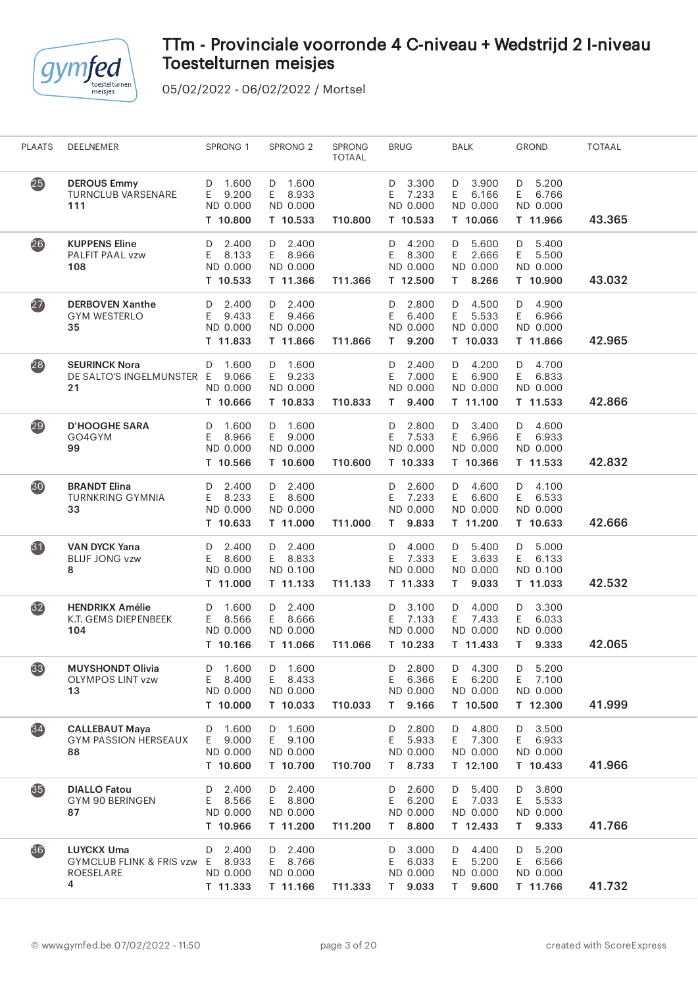

| <b>PLAATS</b>   | DEELNEMER                                                                  | SPRONG 1                                          | SPRONG <sub>2</sub>                               | SPRONG<br><b>TOTAAL</b> | <b>BRUG</b>                                          | <b>BALK</b>                                          | <b>GROND</b>                                      | <b>TOTAAL</b> |
|-----------------|----------------------------------------------------------------------------|---------------------------------------------------|---------------------------------------------------|-------------------------|------------------------------------------------------|------------------------------------------------------|---------------------------------------------------|---------------|
| 25              | <b>DEROUS Emmy</b><br><b>TURNCLUB VARSENARE</b><br>111                     | 1.600<br>D<br>Е<br>9.200<br>ND 0.000<br>T 10.800  | 1.600<br>D<br>E.<br>8.933<br>ND 0.000<br>T 10.533 | T10.800                 | 3.300<br>D<br>7.233<br>E<br>ND 0.000<br>T 10.533     | 3.900<br>D<br>E<br>6.166<br>ND 0.000<br>T 10.066     | 5.200<br>D<br>E<br>6.766<br>ND 0.000<br>T 11.966  | 43.365        |
| 26              | <b>KUPPENS Eline</b><br>PALFIT PAAL vzw<br>108                             | 2.400<br>D<br>E<br>8.133<br>ND 0.000<br>T 10.533  | $D$ 2.400<br>E.<br>8.966<br>ND 0.000<br>T 11.366  | T11.366                 | 4.200<br>D<br>E<br>8.300<br>ND 0.000<br>T 12.500     | 5.600<br>D<br>E.<br>2.666<br>ND 0.000<br>8.266<br>T. | 5.400<br>D<br>E<br>5.500<br>ND 0.000<br>T 10.900  | 43.032        |
| $\overline{27}$ | <b>DERBOVEN Xanthe</b><br><b>GYM WESTERLO</b><br>35                        | 2.400<br>D<br>E<br>9.433<br>ND 0.000<br>T 11.833  | 2.400<br>D<br>E.<br>9.466<br>ND 0.000<br>T 11.866 | T11.866                 | 2.800<br>D<br>Ε<br>6.400<br>ND 0.000<br>9.200<br>T.  | D<br>4.500<br>E.<br>5.533<br>ND 0.000<br>T 10.033    | 4.900<br>D<br>E<br>6.966<br>ND 0.000<br>T 11.866  | 42.965        |
| 28              | <b>SEURINCK Nora</b><br>DE SALTO'S INGELMUNSTER E<br>21                    | 1.600<br>D<br>9.066<br>ND 0.000<br>T 10.666       | D 1.600<br>9.233<br>E.<br>ND 0.000<br>T 10.833    | T10.833                 | 2.400<br>D<br>7.000<br>E.<br>ND 0.000<br>9.400<br>T. | D 4.200<br>6.900<br>E.<br>ND 0.000<br>T 11.100       | 4.700<br>D<br>6.833<br>E<br>ND 0.000<br>T 11.533  | 42.866        |
| 29              | <b>D'HOOGHE SARA</b><br>GO4GYM<br>99                                       | 1.600<br>D<br>E<br>8.966<br>ND 0.000<br>T 10.566  | D 1.600<br>E.<br>9.000<br>ND 0.000<br>T 10.600    | T10.600                 | 2.800<br>D<br>E<br>7.533<br>ND 0.000<br>T 10.333     | 3.400<br>D<br>E.<br>6.966<br>ND 0.000<br>T 10.366    | 4.600<br>D<br>E<br>6.933<br>ND 0.000<br>T 11.533  | 42.832        |
| 30              | <b>BRANDT Elina</b><br><b>TURNKRING GYMNIA</b><br>33                       | 2.400<br>D<br>8.233<br>E<br>ND 0.000<br>T 10.633  | D 2.400<br>E 8.600<br>ND 0.000<br>T 11.000        | T11.000                 | 2.600<br>D<br>7.233<br>Ε<br>ND 0.000<br>9.833<br>T.  | D 4.600<br>E.<br>6.600<br>ND 0.000<br>T 11.200       | 4.100<br>D<br>E<br>6.533<br>ND 0.000<br>T 10.633  | 42.666        |
| 31              | <b>VAN DYCK Yana</b><br><b>BLIJF JONG vzw</b><br>8                         | 2.400<br>D<br>8.600<br>E.<br>ND 0.000<br>T 11.000 | D 2.400<br>E 8.833<br>ND 0.100<br>T 11.133        | T11.133                 | 4.000<br>D<br>7.333<br>E<br>ND 0.000<br>T 11.333     | D 5.400<br>E.<br>3.633<br>ND 0.000<br>9.033<br>T.    | 5.000<br>D<br>E.<br>6.133<br>ND 0.100<br>T 11.033 | 42.532        |
| $\overline{32}$ | <b>HENDRIKX Amélie</b><br>K.T. GEMS DIEPENBEEK<br>104                      | 1.600<br>D<br>8.566<br>E.<br>ND 0.000<br>T 10.166 | $D$ 2.400<br>E<br>8.666<br>ND 0.000<br>T 11.066   | T11.066                 | 3.100<br>D<br>E.<br>7.133<br>ND 0.000<br>T 10.233    | 4.000<br>D<br>E 7.433<br>ND 0.000<br>T 11.433        | 3.300<br>D<br>E<br>6.033<br>ND 0.000<br>T 9.333   | 42.065        |
| (33)            | <b>MUYSHONDT Olivia</b><br><b>OLYMPOS LINT vzw</b><br>13                   | 1.600<br>D<br>Ε<br>8.400<br>ND 0.000<br>T 10.000  | 1.600<br>D<br>8.433<br>E.<br>ND 0.000<br>T 10.033 | T10.033                 | 2.800<br>D<br>Ε<br>6.366<br>ND 0.000<br>T 9.166      | 4.300<br>D<br>E.<br>6.200<br>ND 0.000<br>T 10.500    | 5.200<br>D<br>Ε<br>7.100<br>ND 0.000<br>T 12.300  | 41.999        |
| $\overline{34}$ | <b>CALLEBAUT Maya</b><br>GYM PASSION HERSEAUX<br>88                        | 1.600<br>D<br>9.000<br>E.<br>ND 0.000<br>T 10.600 | D 1.600<br>9.100<br>E.<br>ND 0.000<br>T 10.700    | T10.700                 | 2.800<br>D<br>E.<br>5.933<br>ND 0.000<br>8.733<br>T. | 4.800<br>D<br>7.300<br>E.<br>ND 0.000<br>T 12.100    | 3.500<br>D<br>E<br>6.933<br>ND 0.000<br>T 10.433  | 41.966        |
| 35              | <b>DIALLO Fatou</b><br>GYM 90 BERINGEN<br>87                               | 2.400<br>D<br>8.566<br>E.<br>ND 0.000<br>T 10.966 | 2.400<br>D<br>8.800<br>E.<br>ND 0.000<br>T 11.200 | T11.200                 | 2.600<br>D<br>6.200<br>Ε<br>ND 0.000<br>8.800<br>T.  | 5.400<br>D<br>E 7.033<br>ND 0.000<br>T 12.433        | 3.800<br>D<br>5.533<br>E.<br>ND 0.000<br>T 9.333  | 41.766        |
| 36)             | <b>LUYCKX Uma</b><br><b>GYMCLUB FLINK &amp; FRIS vzw</b><br>ROESELARE<br>4 | 2.400<br>D<br>8.933<br>E.<br>ND 0.000<br>T 11.333 | $D$ 2.400<br>8.766<br>E.<br>ND 0.000<br>T 11.166  | T11.333                 | 3.000<br>D<br>6.033<br>E.<br>ND 0.000<br>9.033<br>T. | 4.400<br>D<br>5.200<br>E.<br>ND 0.000<br>9.600<br>T. | 5.200<br>D<br>6.566<br>E.<br>ND 0.000<br>T 11.766 | 41.732        |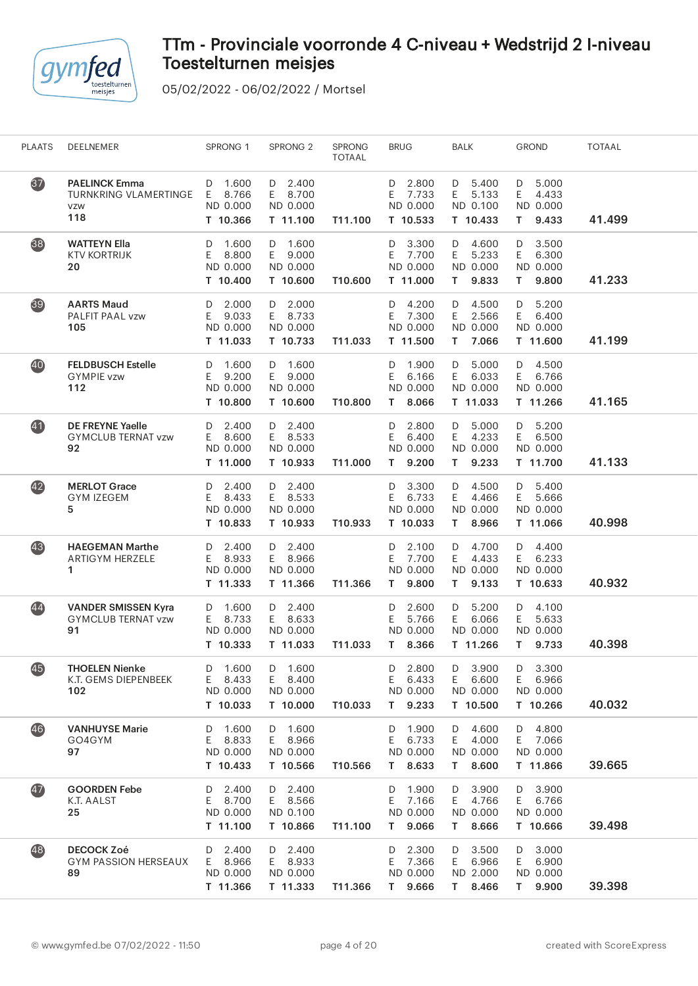

| 37<br><b>PAELINCK Emma</b><br>1.600<br>$D$ 2.400<br>2.800<br>D 5.400<br>5.000<br>D<br>D<br>D<br>TURNKRING VLAMERTINGE<br>8.766<br>7.733<br>E.<br>5.133<br>E<br>4.433<br>E<br>E 8.700<br>E<br>ND 0.000<br>ND 0.000<br>ND 0.100<br>ND 0.000<br>ND 0.000<br><b>VZW</b><br>118<br>41.499<br>T 10.366<br>T 11.100<br>T11.100<br>T 10.533<br>T 10.433<br>9.433<br>T.<br>38)<br>3.500<br><b>WATTEYN Ella</b><br>1.600<br>D 1.600<br>3.300<br>4.600<br>D<br>D<br>D<br>D<br>E.<br>8.800<br>9.000<br>7.700<br>E.<br>5.233<br>E.<br>6.300<br><b>KTV KORTRIJK</b><br>E.<br>E.<br>ND 0.000<br>ND 0.000<br>ND 0.000<br>ND 0.000<br>20<br>ND 0.000<br>41.233<br>9.833<br>T 10.400<br>T 10.600<br>T10.600<br>T 11.000<br>T.<br>T.<br>9.800<br>39<br><b>AARTS Maud</b><br>2.000<br>D 2.000<br>D 4.200<br>4.500<br>5.200<br>D<br>D<br>D<br>9.033<br>E 8.733<br>7.300<br>E.<br>2.566<br>6.400<br>PALFIT PAAL vzw<br>E<br>E<br>E<br>105<br>ND 0.000<br>ND 0.000<br>ND 0.000<br>ND 0.000<br>ND 0.000<br>41.199<br>7.066<br>T 11.033<br>T 10.733<br>T11.033<br>T 11.500<br>T 11.600<br>T.<br>40<br>1.600<br>5.000<br>4.500<br><b>FELDBUSCH Estelle</b><br>D 1.600<br>1.900<br>D<br>D<br>D<br>D<br>E.<br>E.<br>9.200<br>E<br>6.033<br>E<br><b>GYMPIE vzw</b><br>9.000<br>E<br>6.166<br>6.766<br>ND 0.000<br>112<br>ND 0.000<br>ND 0.000<br>ND 0.000<br>ND 0.000<br>T 10.800<br>T 10.600<br>41.165<br>8.066<br>T 11.033<br>T 11.266<br>T10.800<br>T.<br>41<br><b>DE FREYNE Yaelle</b><br>2.400<br>$D$ 2.400<br>2.800<br>D<br>5.000<br>5.200<br>D<br>D<br>D<br>8.600<br>6.400<br>E.<br>4.233<br>6.500<br><b>GYMCLUB TERNAT vzw</b><br>E.<br>E 8.533<br>E<br>E.<br>ND 0.000<br>92<br>ND 0.000<br>ND 0.000<br>ND 0.000<br>ND 0.000<br>41.133<br>9.233<br>T 11.000<br>T 10.933<br>T11.000<br>T.<br>9.200<br>T.<br>T 11.700<br>42)<br>D 2.400<br>5.400<br><b>MERLOT Grace</b><br>2.400<br>3.300<br>4.500<br>D<br>D<br>D<br>D<br>4.466<br><b>GYM IZEGEM</b><br>8.433<br>E 8.533<br>6.733<br>5.666<br>E.<br>E<br>E.<br>E<br>ND 0.000<br>ND 0.000<br>ND 0.000<br>ND 0.000<br>ND 0.000<br>5<br>8.966<br>40.998<br>T 10.833<br>T 10.933<br>T10.933<br>T 10.033<br>T 11.066<br>T.<br>43<br>D 2.400<br>4.700<br>4.400<br><b>HAEGEMAN Marthe</b><br>2.400<br>2.100<br>D<br>D<br>D<br>D<br>E.<br>E<br>8.933<br>E<br>7.700<br>4.433<br>E<br>8.966<br>E<br>6.233<br><b>ARTIGYM HERZELE</b><br>ND 0.000<br>ND 0.000<br>ND 0.000<br>ND 0.000<br>ND 0.000<br>1<br>9.133<br>40.932<br>T 11.333<br>T 11.366<br>T11.366<br>9.800<br>T 10.633<br>T.<br>T.<br>44<br><b>VANDER SMISSEN Kyra</b><br>1.600<br>D 2.400<br>2.600<br>5.200<br>4.100<br>D<br>D<br>D<br>D<br>6.066<br><b>GYMCLUB TERNAT vzw</b><br>E.<br>8.733<br>E 8.633<br>Ε<br>5.766<br>E.<br>E<br>5.633<br>91<br>ND 0.000<br>ND 0.000<br>ND 0.000<br>ND 0.000<br>ND 0.000<br>T 10.333<br>9.733<br>40.398<br>T 11.033<br>T11.033<br>8.366<br>T 11.266<br>T.<br>T.<br><b>THOELEN Nienke</b><br>D<br>1.600<br>D<br>1.600<br>D<br>2.800<br>D<br>3.900<br>D<br>3.300<br>(45)<br>K.T. GEMS DIEPENBEEK<br>8.433<br>8.400<br>6.433<br>E.<br>6.600<br>E<br>E.<br>E.<br>E<br>6.966<br>ND 0.000<br>102<br>ND 0.000<br>ND 0.000<br>ND 0.000<br>ND 0.000<br>40.032<br>T 10.033<br>T 10.000<br>T 9.233<br>T 10.500<br>T 10.266<br>T10.033<br>46<br><b>VANHUYSE Marie</b><br>D 1.600<br>4.800<br>1.600<br>1.900<br>4.600<br>D<br>D<br>D<br>D<br>E.<br>GO4GYM<br>E.<br>8.833<br>E<br>8.966<br>E.<br>6.733<br>4.000<br>E.<br>7.066<br>ND 0.000<br>ND 0.000<br>97<br>ND 0.000<br>ND 0.000<br>ND 0.000<br>39.665<br>T 10.433<br>T 10.566<br>T 8.633<br>8.600<br>T 11.866<br>T10.566<br>T.<br>$\overline{47}$<br>2.400<br>$D$ 2.400<br>1.900<br>3.900<br>3.900<br><b>GOORDEN Febe</b><br>D<br>D<br>D<br>D<br>8.700<br>E 8.566<br>7.166<br>4.766<br>6.766<br>K.T. AALST<br>E.<br>E<br>E.<br>E.<br>25<br>ND 0.000<br>ND 0.000<br>ND 0.000<br>ND 0.100<br>ND 0.000<br>39.498<br>T 11.100<br>T 10.866<br>T11.100<br>T 9.066<br>8.666<br>T 10.666<br>T.<br>48<br><b>DECOCK Zoé</b><br>D 2.400<br>2.300<br>3.500<br>3.000<br>2.400<br>D<br>D<br>D<br>D<br><b>GYM PASSION HERSEAUX</b><br>E 8.966<br>E 8.933<br>7.366<br>E.<br>6.966<br>E<br>6.900<br>E.<br>ND 0.000<br>ND 0.000<br>ND 2.000<br>ND 0.000<br>89<br>ND 0.000<br>39.398<br>T 11.366<br>9.666<br>8.466<br>9.900<br>T 11.333<br>T11.366<br>T.<br>T.<br>T. | <b>PLAATS</b> | DEELNEMER | SPRONG 1 | SPRONG <sub>2</sub> | <b>SPRONG</b><br><b>TOTAAL</b> | <b>BRUG</b> | <b>BALK</b> | <b>GROND</b> | <b>TOTAAL</b> |  |
|-------------------------------------------------------------------------------------------------------------------------------------------------------------------------------------------------------------------------------------------------------------------------------------------------------------------------------------------------------------------------------------------------------------------------------------------------------------------------------------------------------------------------------------------------------------------------------------------------------------------------------------------------------------------------------------------------------------------------------------------------------------------------------------------------------------------------------------------------------------------------------------------------------------------------------------------------------------------------------------------------------------------------------------------------------------------------------------------------------------------------------------------------------------------------------------------------------------------------------------------------------------------------------------------------------------------------------------------------------------------------------------------------------------------------------------------------------------------------------------------------------------------------------------------------------------------------------------------------------------------------------------------------------------------------------------------------------------------------------------------------------------------------------------------------------------------------------------------------------------------------------------------------------------------------------------------------------------------------------------------------------------------------------------------------------------------------------------------------------------------------------------------------------------------------------------------------------------------------------------------------------------------------------------------------------------------------------------------------------------------------------------------------------------------------------------------------------------------------------------------------------------------------------------------------------------------------------------------------------------------------------------------------------------------------------------------------------------------------------------------------------------------------------------------------------------------------------------------------------------------------------------------------------------------------------------------------------------------------------------------------------------------------------------------------------------------------------------------------------------------------------------------------------------------------------------------------------------------------------------------------------------------------------------------------------------------------------------------------------------------------------------------------------------------------------------------------------------------------------------------------------------------------------------------------------------------------------------------------------------------------------------------------------------------------------------------------------------------------------------------------------------------------------------------------------------------------------------------------------------------------------------------------------------------------------------------------------------------------------------------------------------------------------------------------------------------------------------------------------------------------------------------------------------------------------------------------------------------------------------------------------------------------------------------------------|---------------|-----------|----------|---------------------|--------------------------------|-------------|-------------|--------------|---------------|--|
|                                                                                                                                                                                                                                                                                                                                                                                                                                                                                                                                                                                                                                                                                                                                                                                                                                                                                                                                                                                                                                                                                                                                                                                                                                                                                                                                                                                                                                                                                                                                                                                                                                                                                                                                                                                                                                                                                                                                                                                                                                                                                                                                                                                                                                                                                                                                                                                                                                                                                                                                                                                                                                                                                                                                                                                                                                                                                                                                                                                                                                                                                                                                                                                                                                                                                                                                                                                                                                                                                                                                                                                                                                                                                                                                                                                                                                                                                                                                                                                                                                                                                                                                                                                                                                                                                                       |               |           |          |                     |                                |             |             |              |               |  |
|                                                                                                                                                                                                                                                                                                                                                                                                                                                                                                                                                                                                                                                                                                                                                                                                                                                                                                                                                                                                                                                                                                                                                                                                                                                                                                                                                                                                                                                                                                                                                                                                                                                                                                                                                                                                                                                                                                                                                                                                                                                                                                                                                                                                                                                                                                                                                                                                                                                                                                                                                                                                                                                                                                                                                                                                                                                                                                                                                                                                                                                                                                                                                                                                                                                                                                                                                                                                                                                                                                                                                                                                                                                                                                                                                                                                                                                                                                                                                                                                                                                                                                                                                                                                                                                                                                       |               |           |          |                     |                                |             |             |              |               |  |
|                                                                                                                                                                                                                                                                                                                                                                                                                                                                                                                                                                                                                                                                                                                                                                                                                                                                                                                                                                                                                                                                                                                                                                                                                                                                                                                                                                                                                                                                                                                                                                                                                                                                                                                                                                                                                                                                                                                                                                                                                                                                                                                                                                                                                                                                                                                                                                                                                                                                                                                                                                                                                                                                                                                                                                                                                                                                                                                                                                                                                                                                                                                                                                                                                                                                                                                                                                                                                                                                                                                                                                                                                                                                                                                                                                                                                                                                                                                                                                                                                                                                                                                                                                                                                                                                                                       |               |           |          |                     |                                |             |             |              |               |  |
|                                                                                                                                                                                                                                                                                                                                                                                                                                                                                                                                                                                                                                                                                                                                                                                                                                                                                                                                                                                                                                                                                                                                                                                                                                                                                                                                                                                                                                                                                                                                                                                                                                                                                                                                                                                                                                                                                                                                                                                                                                                                                                                                                                                                                                                                                                                                                                                                                                                                                                                                                                                                                                                                                                                                                                                                                                                                                                                                                                                                                                                                                                                                                                                                                                                                                                                                                                                                                                                                                                                                                                                                                                                                                                                                                                                                                                                                                                                                                                                                                                                                                                                                                                                                                                                                                                       |               |           |          |                     |                                |             |             |              |               |  |
|                                                                                                                                                                                                                                                                                                                                                                                                                                                                                                                                                                                                                                                                                                                                                                                                                                                                                                                                                                                                                                                                                                                                                                                                                                                                                                                                                                                                                                                                                                                                                                                                                                                                                                                                                                                                                                                                                                                                                                                                                                                                                                                                                                                                                                                                                                                                                                                                                                                                                                                                                                                                                                                                                                                                                                                                                                                                                                                                                                                                                                                                                                                                                                                                                                                                                                                                                                                                                                                                                                                                                                                                                                                                                                                                                                                                                                                                                                                                                                                                                                                                                                                                                                                                                                                                                                       |               |           |          |                     |                                |             |             |              |               |  |
|                                                                                                                                                                                                                                                                                                                                                                                                                                                                                                                                                                                                                                                                                                                                                                                                                                                                                                                                                                                                                                                                                                                                                                                                                                                                                                                                                                                                                                                                                                                                                                                                                                                                                                                                                                                                                                                                                                                                                                                                                                                                                                                                                                                                                                                                                                                                                                                                                                                                                                                                                                                                                                                                                                                                                                                                                                                                                                                                                                                                                                                                                                                                                                                                                                                                                                                                                                                                                                                                                                                                                                                                                                                                                                                                                                                                                                                                                                                                                                                                                                                                                                                                                                                                                                                                                                       |               |           |          |                     |                                |             |             |              |               |  |
|                                                                                                                                                                                                                                                                                                                                                                                                                                                                                                                                                                                                                                                                                                                                                                                                                                                                                                                                                                                                                                                                                                                                                                                                                                                                                                                                                                                                                                                                                                                                                                                                                                                                                                                                                                                                                                                                                                                                                                                                                                                                                                                                                                                                                                                                                                                                                                                                                                                                                                                                                                                                                                                                                                                                                                                                                                                                                                                                                                                                                                                                                                                                                                                                                                                                                                                                                                                                                                                                                                                                                                                                                                                                                                                                                                                                                                                                                                                                                                                                                                                                                                                                                                                                                                                                                                       |               |           |          |                     |                                |             |             |              |               |  |
|                                                                                                                                                                                                                                                                                                                                                                                                                                                                                                                                                                                                                                                                                                                                                                                                                                                                                                                                                                                                                                                                                                                                                                                                                                                                                                                                                                                                                                                                                                                                                                                                                                                                                                                                                                                                                                                                                                                                                                                                                                                                                                                                                                                                                                                                                                                                                                                                                                                                                                                                                                                                                                                                                                                                                                                                                                                                                                                                                                                                                                                                                                                                                                                                                                                                                                                                                                                                                                                                                                                                                                                                                                                                                                                                                                                                                                                                                                                                                                                                                                                                                                                                                                                                                                                                                                       |               |           |          |                     |                                |             |             |              |               |  |
|                                                                                                                                                                                                                                                                                                                                                                                                                                                                                                                                                                                                                                                                                                                                                                                                                                                                                                                                                                                                                                                                                                                                                                                                                                                                                                                                                                                                                                                                                                                                                                                                                                                                                                                                                                                                                                                                                                                                                                                                                                                                                                                                                                                                                                                                                                                                                                                                                                                                                                                                                                                                                                                                                                                                                                                                                                                                                                                                                                                                                                                                                                                                                                                                                                                                                                                                                                                                                                                                                                                                                                                                                                                                                                                                                                                                                                                                                                                                                                                                                                                                                                                                                                                                                                                                                                       |               |           |          |                     |                                |             |             |              |               |  |
|                                                                                                                                                                                                                                                                                                                                                                                                                                                                                                                                                                                                                                                                                                                                                                                                                                                                                                                                                                                                                                                                                                                                                                                                                                                                                                                                                                                                                                                                                                                                                                                                                                                                                                                                                                                                                                                                                                                                                                                                                                                                                                                                                                                                                                                                                                                                                                                                                                                                                                                                                                                                                                                                                                                                                                                                                                                                                                                                                                                                                                                                                                                                                                                                                                                                                                                                                                                                                                                                                                                                                                                                                                                                                                                                                                                                                                                                                                                                                                                                                                                                                                                                                                                                                                                                                                       |               |           |          |                     |                                |             |             |              |               |  |
|                                                                                                                                                                                                                                                                                                                                                                                                                                                                                                                                                                                                                                                                                                                                                                                                                                                                                                                                                                                                                                                                                                                                                                                                                                                                                                                                                                                                                                                                                                                                                                                                                                                                                                                                                                                                                                                                                                                                                                                                                                                                                                                                                                                                                                                                                                                                                                                                                                                                                                                                                                                                                                                                                                                                                                                                                                                                                                                                                                                                                                                                                                                                                                                                                                                                                                                                                                                                                                                                                                                                                                                                                                                                                                                                                                                                                                                                                                                                                                                                                                                                                                                                                                                                                                                                                                       |               |           |          |                     |                                |             |             |              |               |  |
|                                                                                                                                                                                                                                                                                                                                                                                                                                                                                                                                                                                                                                                                                                                                                                                                                                                                                                                                                                                                                                                                                                                                                                                                                                                                                                                                                                                                                                                                                                                                                                                                                                                                                                                                                                                                                                                                                                                                                                                                                                                                                                                                                                                                                                                                                                                                                                                                                                                                                                                                                                                                                                                                                                                                                                                                                                                                                                                                                                                                                                                                                                                                                                                                                                                                                                                                                                                                                                                                                                                                                                                                                                                                                                                                                                                                                                                                                                                                                                                                                                                                                                                                                                                                                                                                                                       |               |           |          |                     |                                |             |             |              |               |  |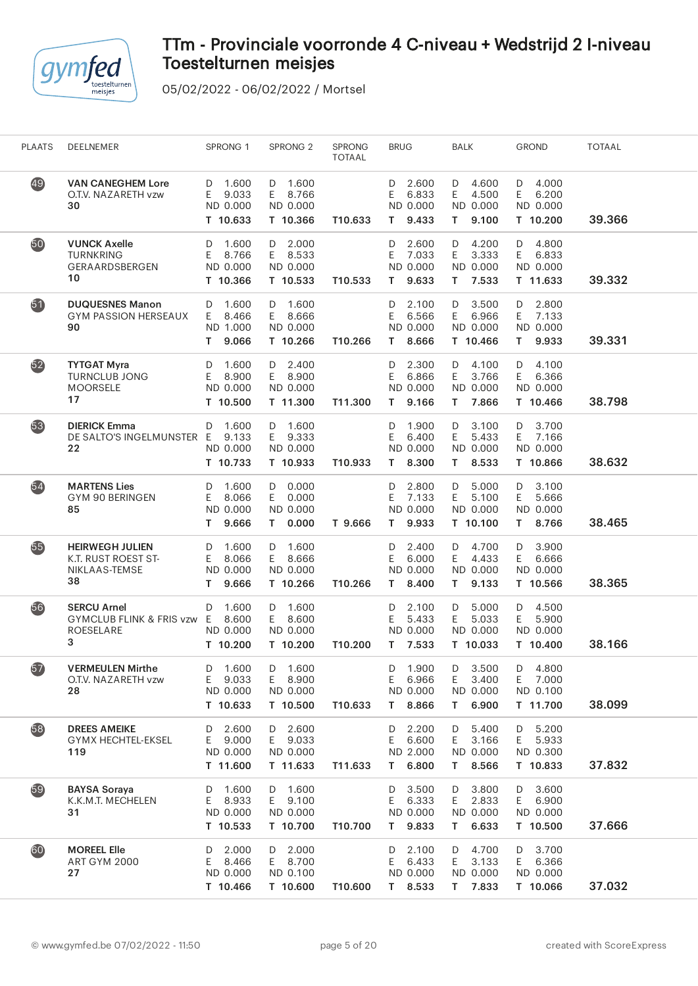

| <b>PLAATS</b>   | DEELNEMER                                                            | SPRONG 1                                             | SPRONG <sub>2</sub>                                         | SPRONG<br><b>TOTAAL</b> | <b>BRUG</b>                                          | <b>BALK</b>                                          | <b>GROND</b>                                        | <b>TOTAAL</b> |
|-----------------|----------------------------------------------------------------------|------------------------------------------------------|-------------------------------------------------------------|-------------------------|------------------------------------------------------|------------------------------------------------------|-----------------------------------------------------|---------------|
| 49              | <b>VAN CANEGHEM Lore</b><br>O.T.V. NAZARETH vzw<br>30                | D 1.600<br>E.<br>9.033<br>ND 0.000<br>T 10.633       | D 1.600<br>E 8.766<br>ND 0.000<br>T 10.366                  | T10.633                 | 2.600<br>D<br>6.833<br>E.<br>ND 0.000<br>9.433<br>T. | D 4.600<br>E<br>4.500<br>ND 0.000<br>9.100<br>T.     | 4.000<br>D<br>E<br>6.200<br>ND 0.000<br>T 10.200    | 39.366        |
| 50              | <b>VUNCK Axelle</b><br><b>TURNKRING</b><br>GERAARDSBERGEN<br>10      | 1.600<br>D<br>8.766<br>E.<br>ND 0.000<br>T 10.366    | $D = 2.000$<br>E 8.533<br>ND 0.000<br>T 10.533              | T10.533                 | 2.600<br>D<br>7.033<br>Ε<br>ND 0.000<br>9.633<br>T.  | D<br>4.200<br>E<br>3.333<br>ND 0.000<br>7.533<br>T.  | 4.800<br>D<br>E.<br>6.833<br>ND 0.000<br>T 11.633   | 39.332        |
| 51              | <b>DUQUESNES Manon</b><br><b>GYM PASSION HERSEAUX</b><br>90          | 1.600<br>D<br>8.466<br>E.<br>ND 1.000<br>9.066<br>T. | D 1.600<br>E 8.666<br>ND 0.000<br>T 10.266                  | T10.266                 | 2.100<br>D<br>6.566<br>Ε<br>ND 0.000<br>T 8.666      | D 3.500<br>6.966<br>E<br>ND 0.000<br>T 10.466        | 2.800<br>D<br>7.133<br>E<br>ND 0.000<br>T 9.933     | 39.331        |
| $\overline{52}$ | <b>TYTGAT Myra</b><br><b>TURNCLUB JONG</b><br><b>MOORSELE</b><br>17  | 1.600<br>D<br>E.<br>8.900<br>ND 0.000<br>T 10.500    | $D$ 2.400<br>E 8.900<br>ND 0.000<br>T 11.300                | T11.300                 | 2.300<br>D<br>E<br>6.866<br>ND 0.000<br>9.166<br>T.  | 4.100<br>D<br>E.<br>3.766<br>ND 0.000<br>T 7.866     | 4.100<br>D<br>E.<br>6.366<br>ND 0.000<br>T 10.466   | 38.798        |
| 53              | <b>DIERICK Emma</b><br>DE SALTO'S INGELMUNSTER E<br>22               | D 1.600<br>9.133<br>ND 0.000<br>T 10.733             | D 1.600<br>E 9.333<br>ND 0.000<br>T 10.933                  | T10.933                 | 1.900<br>D<br>E<br>6.400<br>ND 0.000<br>8.300<br>T.  | D<br>3.100<br>5.433<br>E<br>ND 0.000<br>8.533<br>T.  | 3.700<br>D<br>E 7.166<br>ND 0.000<br>T 10.866       | 38.632        |
| $54$            | <b>MARTENS Lies</b><br>GYM 90 BERINGEN<br>85                         | 1.600<br>D<br>8.066<br>E.<br>ND 0.000<br>9.666<br>T. | $D$ 0.000<br>0.000<br>E.<br>ND 0.000<br>0.000<br>T.         | T 9.666                 | 2.800<br>D<br>7.133<br>E<br>ND 0.000<br>9.933<br>T.  | 5.000<br>D<br>E<br>5.100<br>ND 0.000<br>T 10.100     | 3.100<br>D<br>5.666<br>E<br>ND 0.000<br>8.766<br>T. | 38.465        |
| 65              | <b>HEIRWEGH JULIEN</b><br>K.T. RUST ROEST ST-<br>NIKLAAS-TEMSE<br>38 | D<br>1.600<br>E<br>8.066<br>ND 0.000<br>9.666<br>T.  | D 1.600<br>E.<br>8.666<br>ND 0.000<br>T 10.266              | T10.266                 | 2.400<br>D<br>6.000<br>Ε<br>ND 0.000<br>T 8.400      | D 4.700<br>E.<br>4.433<br>ND 0.000<br>9.133<br>T.    | 3.900<br>D<br>E<br>6.666<br>ND 0.000<br>T 10.566    | 38.365        |
| 56              | <b>SERCU Arnel</b><br>GYMCLUB FLINK & FRIS vzw E<br>ROESELARE<br>3   | 1.600<br>D<br>8.600<br>ND 0.000<br>T 10.200          | D 1.600<br>E 8.600<br>ND 0.000<br>T 10.200                  | T10.200                 | 2.100<br>D<br>Ε<br>5.433<br>ND 0.000<br>T 7.533      | 5.000<br>D<br>5.033<br>E.<br>ND 0.000<br>T 10.033    | 4.500<br>D<br>E<br>5.900<br>ND 0.000<br>T 10.400    | 38.166        |
| 67              | <b>VERMEULEN Mirthe</b><br>O.T.V. NAZARETH vzw<br>28                 | 1.600<br>D<br>9.033<br>E<br>ND 0.000<br>T 10.633     | $\mathsf D$<br>1.600<br>8.900<br>E.<br>ND 0.000<br>T 10.500 | T10.633                 | 1.900<br>D<br>Ε<br>6.966<br>ND 0.000<br>8.866<br>T.  | 3.500<br>D<br>Ε<br>3.400<br>ND 0.000<br>6.900<br>T.  | 4.800<br>D<br>Ε<br>7.000<br>ND 0.100<br>T 11.700    | 38.099        |
| 58              | <b>DREES AMEIKE</b><br><b>GYMX HECHTEL-EKSEL</b><br>119              | 2.600<br>D<br>9.000<br>E.<br>ND 0.000<br>T 11.600    | 2.600<br>D<br>9.033<br>E.<br>ND 0.000<br>T 11.633           | T11.633                 | 2.200<br>D<br>6.600<br>Ε<br>ND 2.000<br>6.800<br>T.  | 5.400<br>D<br>E<br>3.166<br>ND 0.000<br>8.566<br>T.  | 5.200<br>D<br>5.933<br>E.<br>ND 0.300<br>T 10.833   | 37.832        |
| 59              | <b>BAYSA Soraya</b><br>K.K.M.T. MECHELEN<br>31                       | 1.600<br>D<br>8.933<br>E.<br>ND 0.000<br>T 10.533    | D 1.600<br>E 9.100<br>ND 0.000<br>T 10.700                  | T10.700                 | 3.500<br>D<br>6.333<br>E<br>ND 0.000<br>9.833<br>T.  | D<br>3.800<br>2.833<br>E.<br>ND 0.000<br>6.633<br>T. | 3.600<br>D<br>E.<br>6.900<br>ND 0.000<br>T 10.500   | 37.666        |
| 60              | <b>MOREEL Elle</b><br><b>ART GYM 2000</b><br>27                      | 2.000<br>D<br>E.<br>8.466<br>ND 0.000<br>T 10.466    | 2.000<br>D<br>E.<br>8.700<br>ND 0.100<br>T 10.600           | T10.600                 | 2.100<br>D<br>E<br>6.433<br>ND 0.000<br>T 8.533      | 4.700<br>D<br>E<br>3.133<br>ND 0.000<br>T 7.833      | 3.700<br>D<br>Ε<br>6.366<br>ND 0.000<br>T 10.066    | 37.032        |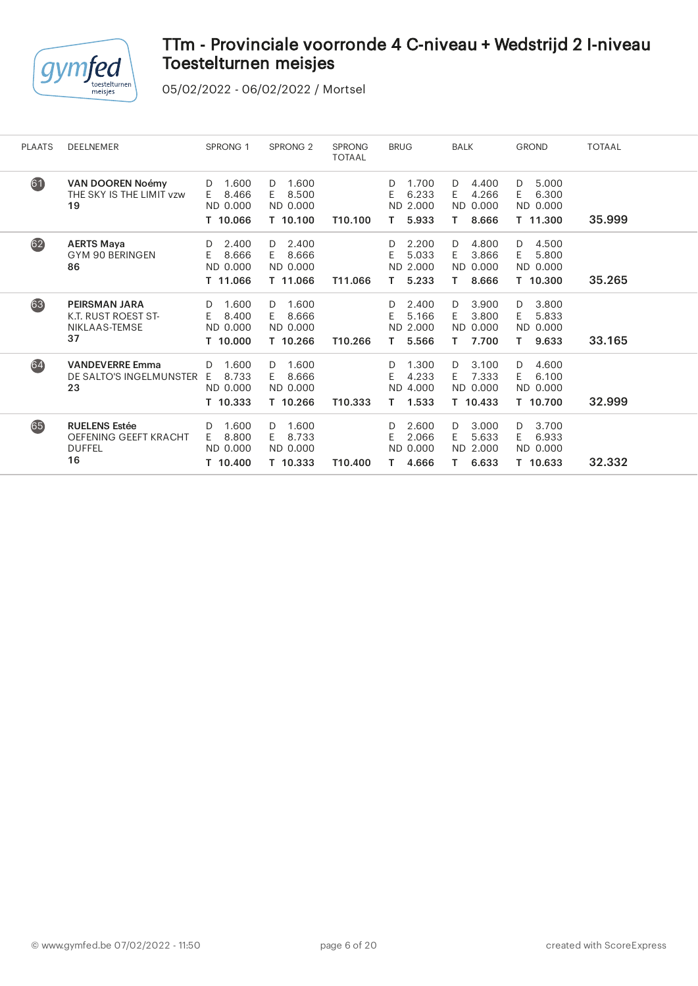

| <b>PLAATS</b> | <b>DEELNEMER</b>                                                            | <b>SPRONG 1</b>                                   | SPRONG <sub>2</sub>                               | <b>SPRONG</b><br><b>TOTAAL</b> | <b>BRUG</b>                                          | <b>BALK</b>                                          | <b>GROND</b>                                        | <b>TOTAAL</b> |
|---------------|-----------------------------------------------------------------------------|---------------------------------------------------|---------------------------------------------------|--------------------------------|------------------------------------------------------|------------------------------------------------------|-----------------------------------------------------|---------------|
| 61            | <b>VAN DOOREN Noémy</b><br>THE SKY IS THE LIMIT vzw<br>19                   | 1.600<br>D<br>8.466<br>E.<br>ND 0.000<br>T 10.066 | 1.600<br>D<br>8.500<br>E.<br>ND 0.000<br>T 10.100 | T10.100                        | 1.700<br>D.<br>E<br>6.233<br>ND 2.000<br>5.933<br>Τ. | 4.400<br>D<br>4.266<br>E.<br>ND 0.000<br>8.666<br>Τ. | D<br>5.000<br>Ε<br>6.300<br>ND 0.000<br>T 11.300    | 35.999        |
| 62)           | <b>AERTS Maya</b><br>GYM 90 BERINGEN<br>86                                  | 2.400<br>D<br>8.666<br>E.<br>ND 0.000<br>T 11.066 | 2.400<br>D<br>8.666<br>E.<br>ND 0.000<br>T 11.066 | T11.066                        | 2.200<br>D<br>5.033<br>E<br>ND 2.000<br>5.233<br>Τ.  | 4.800<br>D<br>3.866<br>E.<br>ND 0.000<br>8.666<br>Τ. | 4.500<br>D<br>Ε<br>5.800<br>ND 0.000<br>T 10.300    | 35.265        |
| 63            | <b>PEIRSMAN JARA</b><br><b>K.T. RUST ROEST ST-</b><br>NIKLAAS-TEMSE<br>37   | 1.600<br>D<br>E.<br>8.400<br>ND 0.000<br>T 10.000 | 1.600<br>D<br>8.666<br>E.<br>ND 0.000<br>T 10.266 | T10.266                        | 2.400<br>D<br>E<br>5.166<br>ND 2.000<br>5.566<br>Τ.  | 3.900<br>D<br>3.800<br>E<br>ND 0.000<br>7.700<br>Τ.  | 3.800<br>D<br>Ε<br>5.833<br>ND 0.000<br>Τ.<br>9.633 | 33.165        |
| 64            | <b>VANDEVERRE Emma</b><br>DE SALTO'S INGELMUNSTER<br>23                     | 1.600<br>D<br>8.733<br>E.<br>ND 0.000<br>T 10.333 | 1.600<br>D<br>8.666<br>E.<br>ND 0.000<br>T 10.266 | T10.333                        | 1.300<br>D<br>E<br>4.233<br>ND 4.000<br>1.533<br>Т.  | 3.100<br>D<br>7.333<br>E.<br>ND 0.000<br>T 10.433    | 4.600<br>D<br>6.100<br>E<br>ND 0.000<br>T 10.700    | 32.999        |
| 65            | <b>RUELENS Estée</b><br><b>OEFENING GEEFT KRACHT</b><br><b>DUFFEL</b><br>16 | 1.600<br>D<br>8.800<br>E.<br>ND 0.000<br>T 10.400 | 1.600<br>D<br>8.733<br>E.<br>ND 0.000<br>T 10.333 | T10.400                        | 2.600<br>D<br>E<br>2.066<br>ND 0.000<br>4.666        | 3.000<br>D<br>5.633<br>E.<br>ND 2.000<br>6.633<br>T. | 3.700<br>D<br>E<br>6.933<br>ND 0.000<br>T 10.633    | 32.332        |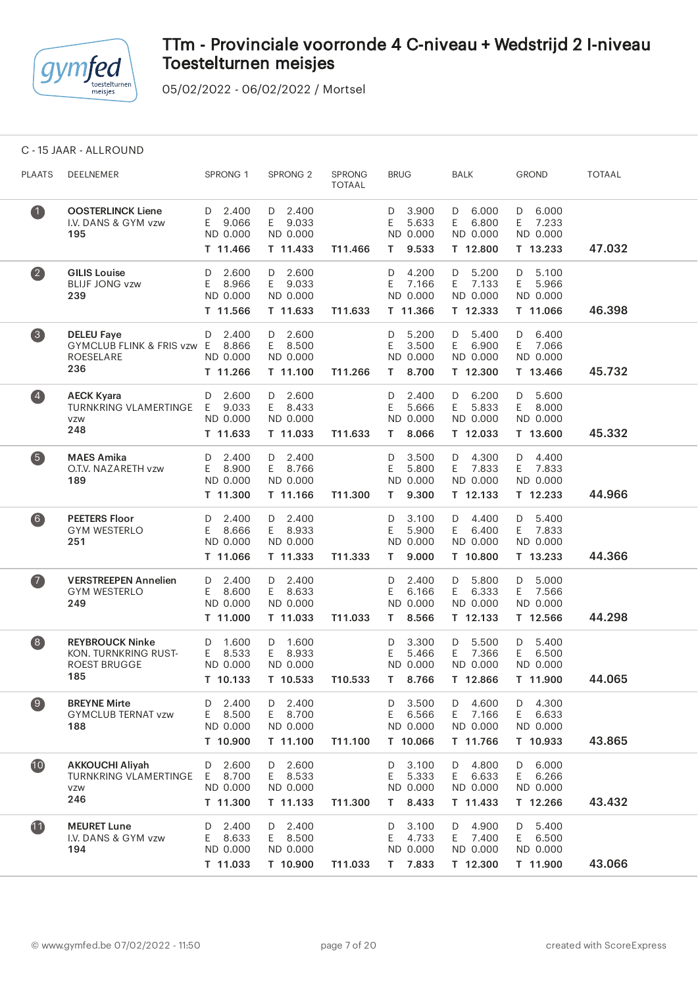

05/02/2022 - 06/02/2022 / Mortsel

C - 15 JAAR - ALLROUND

| <b>PLAATS</b>                           | DEELNEMER                                                                    | SPRONG 1                                          | SPRONG <sub>2</sub>                               | SPRONG<br><b>TOTAAL</b> | <b>BRUG</b>                                         | <b>BALK</b>                                       | <b>GROND</b>                                      | TOTAAL |
|-----------------------------------------|------------------------------------------------------------------------------|---------------------------------------------------|---------------------------------------------------|-------------------------|-----------------------------------------------------|---------------------------------------------------|---------------------------------------------------|--------|
| $\bullet$                               | <b>OOSTERLINCK Liene</b><br>I.V. DANS & GYM vzw<br>195                       | 2.400<br>D<br>9.066<br>E<br>ND 0.000<br>T 11.466  | $D$ 2.400<br>E.<br>9.033<br>ND 0.000<br>T 11.433  | T11.466                 | 3.900<br>D<br>5.633<br>E<br>ND 0.000<br>9.533<br>T. | 6.000<br>D<br>6.800<br>E<br>ND 0.000<br>T 12.800  | 6.000<br>D<br>7.233<br>E<br>ND 0.000<br>T 13.233  | 47.032 |
| $\left( 2\right)$                       | <b>GILIS Louise</b><br><b>BLIJF JONG vzw</b><br>239                          | 2.600<br>D<br>Ε<br>8.966<br>ND 0.000<br>T 11.566  | 2.600<br>D<br>E.<br>9.033<br>ND 0.000<br>T 11.633 | T11.633                 | 4.200<br>D<br>Ε<br>7.166<br>ND 0.000<br>T 11.366    | 5.200<br>D<br>E.<br>7.133<br>ND 0.000<br>T 12.333 | 5.100<br>D<br>Ε<br>5.966<br>ND 0.000<br>T 11.066  | 46.398 |
| $\left( 3 \right)$                      | <b>DELEU Faye</b><br>GYMCLUB FLINK & FRIS vzw E<br>ROESELARE<br>236          | 2.400<br>D<br>8.866<br>ND 0.000<br>T 11.266       | $D$ 2.600<br>8.500<br>E.<br>ND 0.000<br>T 11.100  | T11.266                 | 5.200<br>D<br>3.500<br>Ε<br>ND 0.000<br>8.700<br>T. | 5.400<br>D<br>6.900<br>E.<br>ND 0.000<br>T 12.300 | 6.400<br>D<br>7.066<br>E<br>ND 0.000<br>T 13.466  | 45.732 |
| $\left( 4\right)$                       | <b>AECK Kyara</b><br><b>TURNKRING VLAMERTINGE</b><br><b>VZW</b><br>248       | 2.600<br>D<br>E<br>9.033<br>ND 0.000<br>T 11.633  | 2.600<br>D<br>E<br>8.433<br>ND 0.000<br>T 11.033  | T11.633                 | 2.400<br>D<br>Ε<br>5.666<br>ND 0.000<br>8.066<br>T. | 6.200<br>D<br>E.<br>5.833<br>ND 0.000<br>T 12.033 | 5.600<br>D<br>E<br>8.000<br>ND 0.000<br>T 13.600  | 45.332 |
| $\left(5\right)$                        | <b>MAES Amika</b><br>O.T.V. NAZARETH vzw<br>189                              | 2.400<br>D<br>8.900<br>E<br>ND 0.000<br>T 11.300  | 2.400<br>D<br>E 8.766<br>ND 0.000<br>T 11.166     | T11.300                 | 3.500<br>D<br>5.800<br>Ε<br>ND 0.000<br>9.300<br>Τ  | 4.300<br>D<br>7.833<br>E<br>ND 0.000<br>T 12.133  | 4.400<br>D<br>7.833<br>E<br>ND 0.000<br>T 12.233  | 44.966 |
| (6)                                     | <b>PEETERS Floor</b><br><b>GYM WESTERLO</b><br>251                           | 2.400<br>D<br>Е<br>8.666<br>ND 0.000<br>T 11.066  | $D$ 2.400<br>E 8.933<br>ND 0.000<br>T 11.333      | T11.333                 | 3.100<br>D<br>Ε<br>5.900<br>ND 0.000<br>9.000<br>T. | 4.400<br>D<br>6.400<br>E.<br>ND 0.000<br>T 10.800 | 5.400<br>D<br>7.833<br>E<br>ND 0.000<br>T 13.233  | 44.366 |
| $\bullet$                               | <b>VERSTREEPEN Annelien</b><br><b>GYM WESTERLO</b><br>249                    | 2.400<br>D<br>8.600<br>E<br>ND 0.000<br>T 11.000  | $D$ 2.400<br>8.633<br>E.<br>ND 0.000<br>T 11.033  | T11.033                 | 2.400<br>D<br>6.166<br>Ε<br>ND 0.000<br>8.566<br>T. | 5.800<br>D<br>6.333<br>E.<br>ND 0.000<br>T 12.133 | 5.000<br>D<br>7.566<br>E<br>ND 0.000<br>T 12.566  | 44.298 |
| $\begin{array}{c} \hline 8 \end{array}$ | <b>REYBROUCK Ninke</b><br>KON. TURNKRING RUST-<br><b>ROEST BRUGGE</b><br>185 | 1.600<br>D<br>Е<br>8.533<br>ND 0.000<br>T 10.133  | 1.600<br>D<br>E<br>8.933<br>ND 0.000<br>T 10.533  | T10.533                 | 3.300<br>D<br>E<br>5.466<br>ND 0.000<br>8.766<br>T. | 5.500<br>D<br>E<br>7.366<br>ND 0.000<br>T 12.866  | 5.400<br>D<br>E<br>6.500<br>ND 0.000<br>T 11.900  | 44.065 |
| $\left( 9\right)$                       | <b>BREYNE Mirte</b><br><b>GYMCLUB TERNAT vzw</b><br>188                      | 2.400<br>D<br>8.500<br>Ε<br>ND 0.000<br>T 10.900  | 2.400<br>D<br>8.700<br>E.<br>ND 0.000<br>T 11.100 | T11.100                 | 3.500<br>D<br>E<br>6.566<br>ND 0.000<br>T 10.066    | 4.600<br>D<br>E.<br>7.166<br>ND 0.000<br>T 11.766 | D<br>4.300<br>E.<br>6.633<br>ND 0.000<br>T 10.933 | 43.865 |
| 10                                      | <b>AKKOUCHI Aliyah</b><br><b>TURNKRING VLAMERTINGE</b><br>VZW<br>246         | 2.600<br>D<br>8.700<br>E.<br>ND 0.000<br>T 11.300 | 2.600<br>D<br>E 8.533<br>ND 0.000<br>T 11.133     | T11.300                 | 3.100<br>D<br>5.333<br>Ε<br>ND 0.000<br>8.433<br>T. | 4.800<br>D<br>6.633<br>E.<br>ND 0.000<br>T 11.433 | 6.000<br>D<br>6.266<br>E<br>ND 0.000<br>T 12.266  | 43.432 |
| $\mathbf{1}$                            | <b>MEURET Lune</b><br>I.V. DANS & GYM vzw<br>194                             | 2.400<br>D<br>8.633<br>Ε<br>ND 0.000<br>T 11.033  | D 2.400<br>E 8.500<br>ND 0.000<br>T 10.900        | T11.033                 | 3.100<br>D<br>4.733<br>Ε<br>ND 0.000<br>7.833<br>T. | 4.900<br>D<br>7.400<br>E.<br>ND 0.000<br>T 12.300 | 5.400<br>D<br>6.500<br>E.<br>ND 0.000<br>T 11.900 | 43.066 |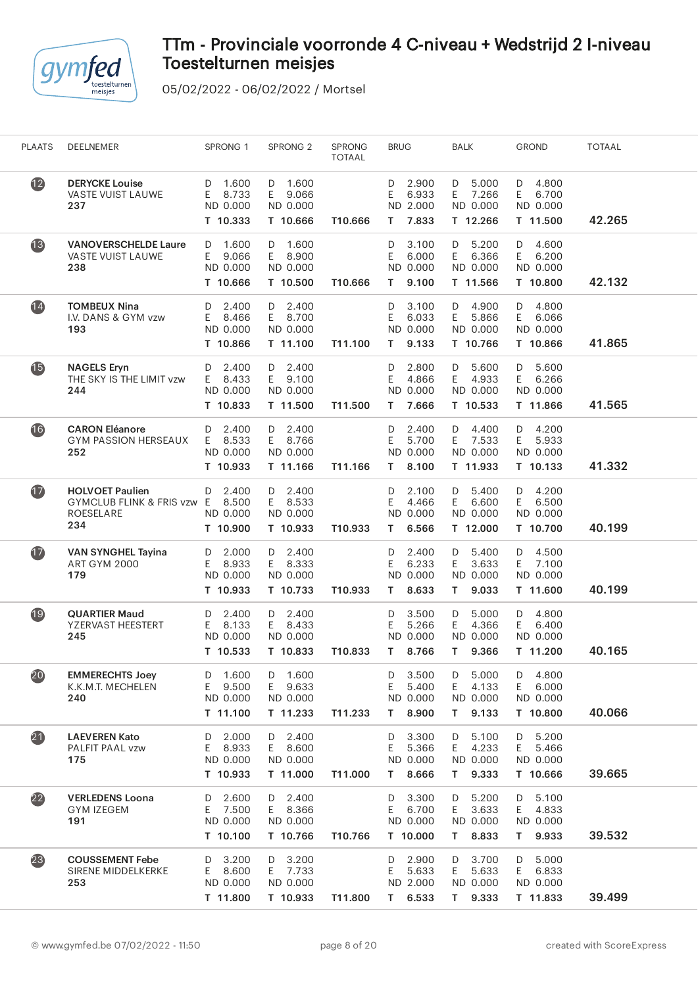

| <b>PLAATS</b>     | DEELNEMER                                                                | SPRONG 1                                          | SPRONG <sub>2</sub>                           | SPRONG<br><b>TOTAAL</b> | <b>BRUG</b>                                          | <b>BALK</b>                                          | <b>GROND</b>                                      | <b>TOTAAL</b> |  |
|-------------------|--------------------------------------------------------------------------|---------------------------------------------------|-----------------------------------------------|-------------------------|------------------------------------------------------|------------------------------------------------------|---------------------------------------------------|---------------|--|
| $\mathbf{12}$     | <b>DERYCKE Louise</b><br>VASTE VUIST LAUWE<br>237                        | 1.600<br>D<br>8.733<br>E.<br>ND 0.000<br>T 10.333 | D 1.600<br>E 9.066<br>ND 0.000<br>T 10.666    | T10.666                 | 2.900<br>D<br>E<br>6.933<br>ND 2.000<br>7.833<br>T.  | 5.000<br>D<br>E<br>7.266<br>ND 0.000<br>T 12.266     | 4.800<br>D<br>E<br>6.700<br>ND 0.000<br>T 11.500  | 42.265        |  |
| 13                | <b>VANOVERSCHELDE Laure</b><br>VASTE VUIST LAUWE<br>238                  | 1.600<br>D<br>E<br>9.066<br>ND 0.000<br>T 10.666  | D 1.600<br>E 8.900<br>ND 0.000<br>T 10.500    | T10.666                 | 3.100<br>D<br>E<br>6.000<br>ND 0.000<br>T.<br>9.100  | 5.200<br>D<br>E.<br>6.366<br>ND 0.000<br>T 11.566    | 4.600<br>D<br>E<br>6.200<br>ND 0.000<br>T 10.800  | 42.132        |  |
| $\overline{14}$   | <b>TOMBEUX Nina</b><br>I.V. DANS & GYM vzw<br>193                        | 2.400<br>D<br>8.466<br>E.<br>ND 0.000<br>T 10.866 | D 2.400<br>E 8.700<br>ND 0.000<br>T 11.100    | T11.100                 | 3.100<br>D<br>Ε<br>6.033<br>ND 0.000<br>9.133<br>T.  | D 4.900<br>E.<br>5.866<br>ND 0.000<br>T 10.766       | 4.800<br>D<br>E<br>6.066<br>ND 0.000<br>T 10.866  | 41.865        |  |
| $\overline{15}$   | <b>NAGELS Eryn</b><br>THE SKY IS THE LIMIT vzw<br>244                    | 2.400<br>D<br>8.433<br>E.<br>ND 0.000<br>T 10.833 | D 2.400<br>E 9.100<br>ND 0.000<br>T 11.500    | T11.500                 | 2.800<br>D<br>4.866<br>Ε<br>ND 0.000<br>7.666<br>т   | 5.600<br>D<br>4.933<br>E.<br>ND 0.000<br>T 10.533    | 5.600<br>D<br>E<br>6.266<br>ND 0.000<br>T 11.866  | 41.565        |  |
| 16                | <b>CARON Eléanore</b><br><b>GYM PASSION HERSEAUX</b><br>252              | 2.400<br>D<br>8.533<br>E.<br>ND 0.000<br>T 10.933 | $D$ 2.400<br>E 8.766<br>ND 0.000<br>T 11.166  | T11.166                 | 2.400<br>D<br>E<br>5.700<br>ND 0.000<br>8.100<br>T.  | 4.400<br>D<br>E<br>7.533<br>ND 0.000<br>T 11.933     | 4.200<br>D<br>5.933<br>E.<br>ND 0.000<br>T 10.133 | 41.332        |  |
| $\bf \Phi$        | <b>HOLVOET Paulien</b><br>GYMCLUB FLINK & FRIS vzw E<br>ROESELARE<br>234 | $D$ 2.400<br>8.500<br>ND 0.000<br>T 10.900        | D 2.400<br>E 8.533<br>ND 0.000<br>T 10.933    | T10.933                 | 2.100<br>D<br>E.<br>4.466<br>ND 0.000<br>6.566<br>T. | 5.400<br>D<br>E.<br>6.600<br>ND 0.000<br>T 12.000    | 4.200<br>D<br>E<br>6.500<br>ND 0.000<br>T 10.700  | 40.199        |  |
| $\overline{1}$    | <b>VAN SYNGHEL Tayina</b><br><b>ART GYM 2000</b><br>179                  | 2.000<br>D<br>8.933<br>E.<br>ND 0.000<br>T 10.933 | D 2.400<br>E 8.333<br>ND 0.000<br>T 10.733    | T10.933                 | 2.400<br>D<br>6.233<br>E.<br>ND 0.000<br>T.<br>8.633 | D<br>5.400<br>E.<br>3.633<br>ND 0.000<br>T.<br>9.033 | 4.500<br>D<br>7.100<br>E.<br>ND 0.000<br>T 11.600 | 40.199        |  |
| $\overline{19}$   | <b>QUARTIER Maud</b><br>YZERVAST HEESTERT<br>245                         | 2.400<br>D<br>8.133<br>E.<br>ND 0.000<br>T 10.533 | D 2.400<br>E 8.433<br>ND 0.000<br>T 10.833    | T10.833                 | 3.500<br>D<br>Ε<br>5.266<br>ND 0.000<br>8.766<br>T.  | 5.000<br>D<br>4.366<br>E.<br>ND 0.000<br>9.366<br>T. | 4.800<br>D<br>6.400<br>E<br>ND 0.000<br>T 11.200  | 40.165        |  |
| 20                | <b>EMMERECHTS Joey</b><br>K.K.M.T. MECHELEN<br>240                       | 1.600<br>D<br>9.500<br>E.<br>ND 0.000<br>T 11.100 | 1.600<br>D<br>E 9.633<br>ND 0.000<br>T 11.233 | T11.233                 | 3.500<br>D<br>E.<br>5.400<br>ND 0.000<br>8.900<br>T. | 5.000<br>D<br>E<br>4.133<br>ND 0.000<br>9.133<br>T.  | 4.800<br>D<br>E<br>6.000<br>ND 0.000<br>T 10.800  | 40.066        |  |
| $\boldsymbol{21}$ | <b>LAEVEREN Kato</b><br>PALFIT PAAL vzw<br>175                           | 2.000<br>D<br>E<br>8.933<br>ND 0.000<br>T 10.933  | D 2.400<br>E 8.600<br>ND 0.000<br>T 11.000    | T11.000                 | 3.300<br>D<br>E<br>5.366<br>ND 0.000<br>8.666<br>T.  | 5.100<br>D<br>E.<br>4.233<br>ND 0.000<br>9.333<br>T. | 5.200<br>D<br>E<br>5.466<br>ND 0.000<br>T 10.666  | 39.665        |  |
| $\overline{22}$   | <b>VERLEDENS Loona</b><br><b>GYM IZEGEM</b><br>191                       | 2.600<br>D<br>E<br>7.500<br>ND 0.000<br>T 10.100  | D 2.400<br>E 8.366<br>ND 0.000<br>T 10.766    | T10.766                 | 3.300<br>D<br>E.<br>6.700<br>ND 0.000<br>T 10.000    | D<br>5.200<br>E.<br>3.633<br>ND 0.000<br>8.833<br>T. | 5.100<br>D<br>E.<br>4.833<br>ND 0.000<br>T 9.933  | 39.532        |  |
| (23)              | <b>COUSSEMENT Febe</b><br>SIRENE MIDDELKERKE<br>253                      | 3.200<br>D<br>8.600<br>E.<br>ND 0.000<br>T 11.800 | D 3.200<br>E 7.733<br>ND 0.000<br>T 10.933    | T11.800                 | 2.900<br>D<br>E.<br>5.633<br>ND 2.000<br>6.533<br>T. | 3.700<br>D<br>5.633<br>E.<br>ND 0.000<br>T 9.333     | 5.000<br>D<br>E<br>6.833<br>ND 0.000<br>T 11.833  | 39.499        |  |
|                   |                                                                          |                                                   |                                               |                         |                                                      |                                                      |                                                   |               |  |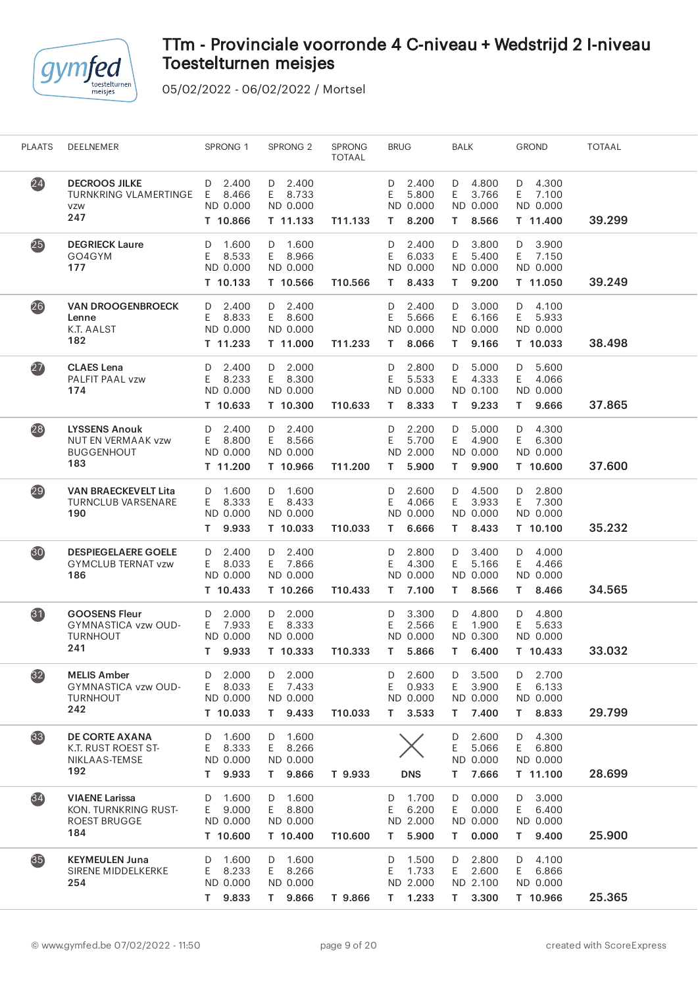

| $\overline{24}$<br><b>DECROOS JILKE</b><br>2.400<br>D 2.400<br>2.400<br>4.800<br>4.300<br>D<br>D<br>D<br>D<br>5.800<br>E.<br><b>TURNKRING VLAMERTINGE</b><br>E.<br>8.466<br>E 8.733<br>E<br>3.766<br>E<br>7.100<br>ND 0.000<br>ND 0.000<br>ND 0.000<br>ND 0.000<br>ND 0.000<br>VZW<br>247<br>39.299<br>T 10.866<br>T 11.133<br>8.200<br>8.566<br>T 11.400<br>T11.133<br>Τ<br>T.<br>25<br><b>DEGRIECK Laure</b><br>1.600<br>D 1.600<br>2.400<br>3.800<br>3.900<br>D<br>D<br>D<br>D<br>8.533<br>Ε<br>6.033<br>E.<br>5.400<br>GO4GYM<br>E.<br>E 8.966<br>E.<br>7.150<br>ND 0.000<br>ND 0.000<br>ND 0.000<br>ND 0.000<br>177<br>ND 0.000<br>9.200<br>39.249<br>T 10.133<br>T 10.566<br>T10.566<br>8.433<br>T 11.050<br>т<br>T.<br>$\overline{26}$<br>2.400<br><b>VAN DROOGENBROECK</b><br>D 2.400<br>2.400<br>D<br>3.000<br>4.100<br>D<br>D<br>D<br>8.833<br>E 8.600<br>E<br>6.166<br>Ε<br>5.666<br>E<br>5.933<br>Lenne<br>Ε<br>K.T. AALST<br>ND 0.000<br>ND 0.000<br>ND 0.000<br>ND 0.000<br>ND 0.000<br>182<br>38.498<br>T 11.233<br>T 11.000<br>T11.233<br>8.066<br>9.166<br>T 10.033<br>т<br>T.<br>(27)<br><b>CLAES</b> Lena<br>2.400<br>D 2.000<br>2.800<br>5.000<br>5.600<br>D<br>D<br>D<br>D<br>8.233<br>E 8.300<br>5.533<br>4.333<br>PALFIT PAAL vzw<br>E<br>Ε<br>E.<br>E<br>4.066<br>ND 0.000<br>ND 0.000<br>ND 0.100<br>174<br>ND 0.000<br>ND 0.000<br>37.865<br>T 10.633<br>T 10.300<br>8.333<br>9.233<br>9.666<br>T10.633<br>т<br>T.<br>T.<br>$\overline{28}$<br><b>LYSSENS Anouk</b><br>2.400<br>$D$ 2.400<br>2.200<br>5.000<br>4.300<br>D<br>D<br>D<br>D<br>E<br>8.800<br>E 8.566<br>Ε<br>4.900<br>E<br><b>NUT EN VERMAAK vzw</b><br>E.<br>5.700<br>6.300<br><b>BUGGENHOUT</b><br>ND 0.000<br>ND 0.000<br>ND 2.000<br>ND 0.000<br>ND 0.000<br>183<br>9.900<br>37.600<br>T 11.200<br>T 10.966<br>T11.200<br>5.900<br>T 10.600<br>т<br>T.<br>29<br><b>VAN BRAECKEVELT Lita</b><br>1.600<br>D 1.600<br>2.600<br>4.500<br>2.800<br>D<br>D<br>D<br>D<br>8.333<br>Ε<br>E.<br>3.933<br>7.300<br><b>TURNCLUB VARSENARE</b><br>E<br>E 8.433<br>4.066<br>E.<br>ND 0.000<br>ND 0.000<br>ND 0.000<br>ND 0.000<br>190<br>ND 0.000<br>35.232<br>9.933<br>T 10.033<br>T10.033<br>6.666<br>8.433<br>T 10.100<br>т<br>т<br>T.<br>30<br><b>DESPIEGELAERE GOELE</b><br>2.400<br>D 2.400<br>2.800<br>D<br>3.400<br>4.000<br>D<br>D<br>D<br>5.166<br><b>GYMCLUB TERNAT vzw</b><br>8.033<br>E 7.866<br>Ε<br>4.300<br>E.<br>Ε<br>4.466<br>Ε<br>ND 0.000<br>ND 0.000<br>ND 0.000<br>ND 0.000<br>ND 0.000<br>186<br>34.565<br>T 10.433<br>T 10.266<br>T10.433<br>7.100<br>8.566<br>8.466<br>т<br>T.<br>T.<br>31<br><b>GOOSENS Fleur</b><br>2.000<br>D 2.000<br>3.300<br>4.800<br>4.800<br>D<br>D<br>D<br>D<br>1.900<br>GYMNASTICA vzw OUD-<br>7.933<br>E 8.333<br>2.566<br>E.<br>E<br>5.633<br>E.<br>E<br><b>TURNHOUT</b><br>ND 0.000<br>ND 0.000<br>ND 0.000<br>ND 0.300<br>ND 0.000<br>241<br>33.032<br>9.933<br>T 10.333<br>T10.333<br>5.866<br>6.400<br>T 10.433<br>T.<br>T.<br>T.<br>32<br><b>MELIS Amber</b><br>2.000<br>2.000<br>2.600<br>3.500<br>D<br>D<br>D<br>2.700<br>D<br>D<br>8.033<br>7.433<br>Ε<br>0.933<br>E.<br>3.900<br>E<br>6.133<br>GYMNASTICA vzw OUD-<br>E.<br>E.<br>ND 0.000<br>ND 0.000<br><b>TURNHOUT</b><br>ND 0.000<br>ND 0.000<br>ND 0.000<br>242<br>7.400<br>29.799<br>T 10.033<br>T 9.433<br>T10.033<br>3.533<br>8.833<br>T.<br>T.<br>T.<br>33<br>D 1.600<br>4.300<br><b>DE CORTE AXANA</b><br>1.600<br>2.600<br>D<br>D<br>D<br>E<br>K.T. RUST ROEST ST-<br>E.<br>8.333<br>E 8.266<br>5.066<br>E.<br>6.800<br>ND 0.000<br>NIKLAAS-TEMSE<br>ND 0.000<br>ND 0.000<br>ND 0.000<br>192<br>9.933<br>T 9.866<br>7.666<br>28.699<br>T 11.100<br>T.<br>T 9.933<br><b>DNS</b><br>T.<br>$\overline{34}$<br>D 1.600<br>0.000<br>3.000<br><b>VIAENE Larissa</b><br>1.600<br>D<br>1.700<br>D<br>D<br>D<br>KON. TURNKRING RUST-<br>9.000<br>E 8.800<br>E<br>6.200<br>E.<br>0.000<br>6.400<br>E.<br>E.<br>ND 0.000<br>ND 0.000<br>ND 2.000<br>ND 0.000<br>ND 0.000<br><b>ROEST BRUGGE</b><br>184<br>25.900<br>T 10.600<br>T 10.400<br>5.900<br>0.000<br>T 9.400<br>T10.600<br>T.<br>T.<br>35)<br>4.100<br><b>KEYMEULEN Juna</b><br>1.600<br>D 1.600<br>1.500<br>D<br>2.800<br>D<br>D<br>D<br>2.600<br>8.233<br>E 8.266<br>1.733<br>6.866<br>SIRENE MIDDELKERKE<br>E<br>E.<br>E.<br>E.<br>254<br>ND 0.000<br>ND 0.000<br>ND 2.000<br>ND 2.100<br>ND 0.000<br>25.365<br>T 9.833<br>T 9.866<br>$T = 1.233$<br>3.300<br>T 10.966<br>T 9.866<br>T. | <b>PLAATS</b> | DEELNEMER | SPRONG <sub>1</sub> | SPRONG <sub>2</sub> | <b>SPRONG</b><br><b>TOTAAL</b> | <b>BRUG</b> | BALK | <b>GROND</b> | <b>TOTAAL</b> |  |
|------------------------------------------------------------------------------------------------------------------------------------------------------------------------------------------------------------------------------------------------------------------------------------------------------------------------------------------------------------------------------------------------------------------------------------------------------------------------------------------------------------------------------------------------------------------------------------------------------------------------------------------------------------------------------------------------------------------------------------------------------------------------------------------------------------------------------------------------------------------------------------------------------------------------------------------------------------------------------------------------------------------------------------------------------------------------------------------------------------------------------------------------------------------------------------------------------------------------------------------------------------------------------------------------------------------------------------------------------------------------------------------------------------------------------------------------------------------------------------------------------------------------------------------------------------------------------------------------------------------------------------------------------------------------------------------------------------------------------------------------------------------------------------------------------------------------------------------------------------------------------------------------------------------------------------------------------------------------------------------------------------------------------------------------------------------------------------------------------------------------------------------------------------------------------------------------------------------------------------------------------------------------------------------------------------------------------------------------------------------------------------------------------------------------------------------------------------------------------------------------------------------------------------------------------------------------------------------------------------------------------------------------------------------------------------------------------------------------------------------------------------------------------------------------------------------------------------------------------------------------------------------------------------------------------------------------------------------------------------------------------------------------------------------------------------------------------------------------------------------------------------------------------------------------------------------------------------------------------------------------------------------------------------------------------------------------------------------------------------------------------------------------------------------------------------------------------------------------------------------------------------------------------------------------------------------------------------------------------------------------------------------------------------------------------------------------------------------------------------------------------------------------------------------------------------------------------------------------------------------------------------------------------------------------------------------------------------------------------------------------------------------------------------------------------------------------------------------------------------------------------------------------------------------------------------------------------------------------------------------------------------------------------------------------------------------------------------------------------------------------------------------------------------------------------------------------|---------------|-----------|---------------------|---------------------|--------------------------------|-------------|------|--------------|---------------|--|
|                                                                                                                                                                                                                                                                                                                                                                                                                                                                                                                                                                                                                                                                                                                                                                                                                                                                                                                                                                                                                                                                                                                                                                                                                                                                                                                                                                                                                                                                                                                                                                                                                                                                                                                                                                                                                                                                                                                                                                                                                                                                                                                                                                                                                                                                                                                                                                                                                                                                                                                                                                                                                                                                                                                                                                                                                                                                                                                                                                                                                                                                                                                                                                                                                                                                                                                                                                                                                                                                                                                                                                                                                                                                                                                                                                                                                                                                                                                                                                                                                                                                                                                                                                                                                                                                                                                                                                                                                                                |               |           |                     |                     |                                |             |      |              |               |  |
|                                                                                                                                                                                                                                                                                                                                                                                                                                                                                                                                                                                                                                                                                                                                                                                                                                                                                                                                                                                                                                                                                                                                                                                                                                                                                                                                                                                                                                                                                                                                                                                                                                                                                                                                                                                                                                                                                                                                                                                                                                                                                                                                                                                                                                                                                                                                                                                                                                                                                                                                                                                                                                                                                                                                                                                                                                                                                                                                                                                                                                                                                                                                                                                                                                                                                                                                                                                                                                                                                                                                                                                                                                                                                                                                                                                                                                                                                                                                                                                                                                                                                                                                                                                                                                                                                                                                                                                                                                                |               |           |                     |                     |                                |             |      |              |               |  |
|                                                                                                                                                                                                                                                                                                                                                                                                                                                                                                                                                                                                                                                                                                                                                                                                                                                                                                                                                                                                                                                                                                                                                                                                                                                                                                                                                                                                                                                                                                                                                                                                                                                                                                                                                                                                                                                                                                                                                                                                                                                                                                                                                                                                                                                                                                                                                                                                                                                                                                                                                                                                                                                                                                                                                                                                                                                                                                                                                                                                                                                                                                                                                                                                                                                                                                                                                                                                                                                                                                                                                                                                                                                                                                                                                                                                                                                                                                                                                                                                                                                                                                                                                                                                                                                                                                                                                                                                                                                |               |           |                     |                     |                                |             |      |              |               |  |
|                                                                                                                                                                                                                                                                                                                                                                                                                                                                                                                                                                                                                                                                                                                                                                                                                                                                                                                                                                                                                                                                                                                                                                                                                                                                                                                                                                                                                                                                                                                                                                                                                                                                                                                                                                                                                                                                                                                                                                                                                                                                                                                                                                                                                                                                                                                                                                                                                                                                                                                                                                                                                                                                                                                                                                                                                                                                                                                                                                                                                                                                                                                                                                                                                                                                                                                                                                                                                                                                                                                                                                                                                                                                                                                                                                                                                                                                                                                                                                                                                                                                                                                                                                                                                                                                                                                                                                                                                                                |               |           |                     |                     |                                |             |      |              |               |  |
|                                                                                                                                                                                                                                                                                                                                                                                                                                                                                                                                                                                                                                                                                                                                                                                                                                                                                                                                                                                                                                                                                                                                                                                                                                                                                                                                                                                                                                                                                                                                                                                                                                                                                                                                                                                                                                                                                                                                                                                                                                                                                                                                                                                                                                                                                                                                                                                                                                                                                                                                                                                                                                                                                                                                                                                                                                                                                                                                                                                                                                                                                                                                                                                                                                                                                                                                                                                                                                                                                                                                                                                                                                                                                                                                                                                                                                                                                                                                                                                                                                                                                                                                                                                                                                                                                                                                                                                                                                                |               |           |                     |                     |                                |             |      |              |               |  |
|                                                                                                                                                                                                                                                                                                                                                                                                                                                                                                                                                                                                                                                                                                                                                                                                                                                                                                                                                                                                                                                                                                                                                                                                                                                                                                                                                                                                                                                                                                                                                                                                                                                                                                                                                                                                                                                                                                                                                                                                                                                                                                                                                                                                                                                                                                                                                                                                                                                                                                                                                                                                                                                                                                                                                                                                                                                                                                                                                                                                                                                                                                                                                                                                                                                                                                                                                                                                                                                                                                                                                                                                                                                                                                                                                                                                                                                                                                                                                                                                                                                                                                                                                                                                                                                                                                                                                                                                                                                |               |           |                     |                     |                                |             |      |              |               |  |
|                                                                                                                                                                                                                                                                                                                                                                                                                                                                                                                                                                                                                                                                                                                                                                                                                                                                                                                                                                                                                                                                                                                                                                                                                                                                                                                                                                                                                                                                                                                                                                                                                                                                                                                                                                                                                                                                                                                                                                                                                                                                                                                                                                                                                                                                                                                                                                                                                                                                                                                                                                                                                                                                                                                                                                                                                                                                                                                                                                                                                                                                                                                                                                                                                                                                                                                                                                                                                                                                                                                                                                                                                                                                                                                                                                                                                                                                                                                                                                                                                                                                                                                                                                                                                                                                                                                                                                                                                                                |               |           |                     |                     |                                |             |      |              |               |  |
|                                                                                                                                                                                                                                                                                                                                                                                                                                                                                                                                                                                                                                                                                                                                                                                                                                                                                                                                                                                                                                                                                                                                                                                                                                                                                                                                                                                                                                                                                                                                                                                                                                                                                                                                                                                                                                                                                                                                                                                                                                                                                                                                                                                                                                                                                                                                                                                                                                                                                                                                                                                                                                                                                                                                                                                                                                                                                                                                                                                                                                                                                                                                                                                                                                                                                                                                                                                                                                                                                                                                                                                                                                                                                                                                                                                                                                                                                                                                                                                                                                                                                                                                                                                                                                                                                                                                                                                                                                                |               |           |                     |                     |                                |             |      |              |               |  |
|                                                                                                                                                                                                                                                                                                                                                                                                                                                                                                                                                                                                                                                                                                                                                                                                                                                                                                                                                                                                                                                                                                                                                                                                                                                                                                                                                                                                                                                                                                                                                                                                                                                                                                                                                                                                                                                                                                                                                                                                                                                                                                                                                                                                                                                                                                                                                                                                                                                                                                                                                                                                                                                                                                                                                                                                                                                                                                                                                                                                                                                                                                                                                                                                                                                                                                                                                                                                                                                                                                                                                                                                                                                                                                                                                                                                                                                                                                                                                                                                                                                                                                                                                                                                                                                                                                                                                                                                                                                |               |           |                     |                     |                                |             |      |              |               |  |
|                                                                                                                                                                                                                                                                                                                                                                                                                                                                                                                                                                                                                                                                                                                                                                                                                                                                                                                                                                                                                                                                                                                                                                                                                                                                                                                                                                                                                                                                                                                                                                                                                                                                                                                                                                                                                                                                                                                                                                                                                                                                                                                                                                                                                                                                                                                                                                                                                                                                                                                                                                                                                                                                                                                                                                                                                                                                                                                                                                                                                                                                                                                                                                                                                                                                                                                                                                                                                                                                                                                                                                                                                                                                                                                                                                                                                                                                                                                                                                                                                                                                                                                                                                                                                                                                                                                                                                                                                                                |               |           |                     |                     |                                |             |      |              |               |  |
|                                                                                                                                                                                                                                                                                                                                                                                                                                                                                                                                                                                                                                                                                                                                                                                                                                                                                                                                                                                                                                                                                                                                                                                                                                                                                                                                                                                                                                                                                                                                                                                                                                                                                                                                                                                                                                                                                                                                                                                                                                                                                                                                                                                                                                                                                                                                                                                                                                                                                                                                                                                                                                                                                                                                                                                                                                                                                                                                                                                                                                                                                                                                                                                                                                                                                                                                                                                                                                                                                                                                                                                                                                                                                                                                                                                                                                                                                                                                                                                                                                                                                                                                                                                                                                                                                                                                                                                                                                                |               |           |                     |                     |                                |             |      |              |               |  |
|                                                                                                                                                                                                                                                                                                                                                                                                                                                                                                                                                                                                                                                                                                                                                                                                                                                                                                                                                                                                                                                                                                                                                                                                                                                                                                                                                                                                                                                                                                                                                                                                                                                                                                                                                                                                                                                                                                                                                                                                                                                                                                                                                                                                                                                                                                                                                                                                                                                                                                                                                                                                                                                                                                                                                                                                                                                                                                                                                                                                                                                                                                                                                                                                                                                                                                                                                                                                                                                                                                                                                                                                                                                                                                                                                                                                                                                                                                                                                                                                                                                                                                                                                                                                                                                                                                                                                                                                                                                |               |           |                     |                     |                                |             |      |              |               |  |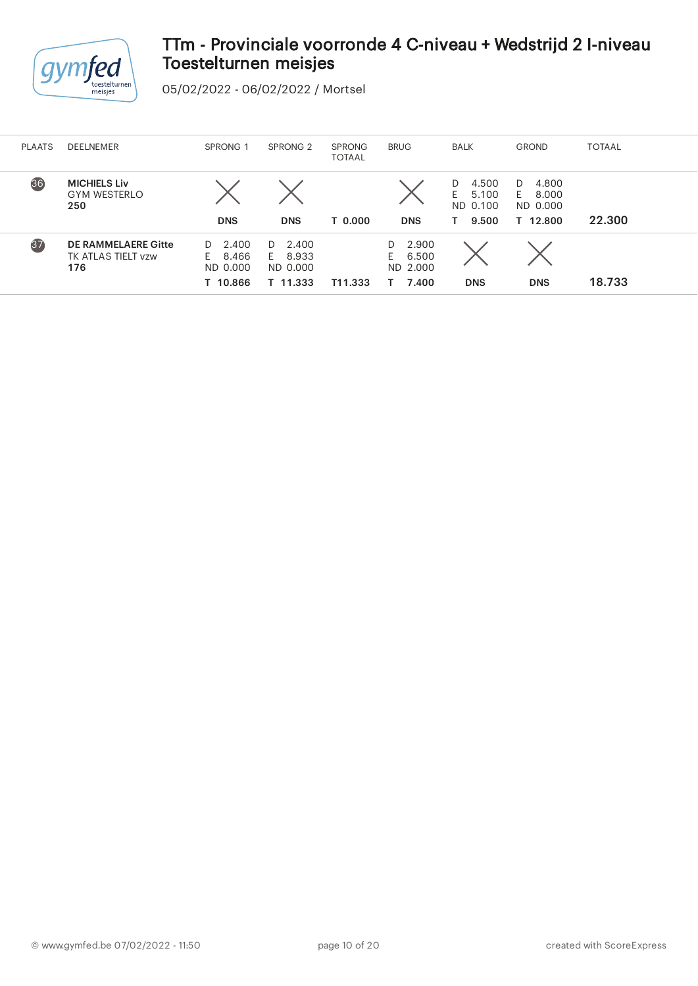

| <b>PLAATS</b> | DEELNEMER                                               | SPRONG <sub>1</sub>                                | SPRONG <sub>2</sub>                                | <b>SPRONG</b><br><b>TOTAAL</b> | <b>BRUG</b>                                    | <b>BALK</b>                                   | <b>GROND</b>                                    | <b>TOTAAL</b> |
|---------------|---------------------------------------------------------|----------------------------------------------------|----------------------------------------------------|--------------------------------|------------------------------------------------|-----------------------------------------------|-------------------------------------------------|---------------|
| 36            | <b>MICHIELS Liv</b><br><b>GYM WESTERLO</b><br>250       | <b>DNS</b>                                         | <b>DNS</b>                                         | T 0.000                        | <b>DNS</b>                                     | 4.500<br>D<br>E<br>5.100<br>ND 0.100<br>9.500 | 4.800<br>D<br>8.000<br>E.<br>ND 0.000<br>12.800 | 22.300        |
| 37            | <b>DE RAMMELAERE Gitte</b><br>TK ATLAS TIELT vzw<br>176 | 2.400<br>D.<br>8.466<br>F.<br>ND 0.000<br>T 10.866 | 2.400<br>D.<br>8.933<br>F.<br>ND 0.000<br>T 11.333 | T11.333                        | 2.900<br>D<br>6.500<br>E.<br>ND 2.000<br>7.400 | <b>DNS</b>                                    | <b>DNS</b>                                      | 18.733        |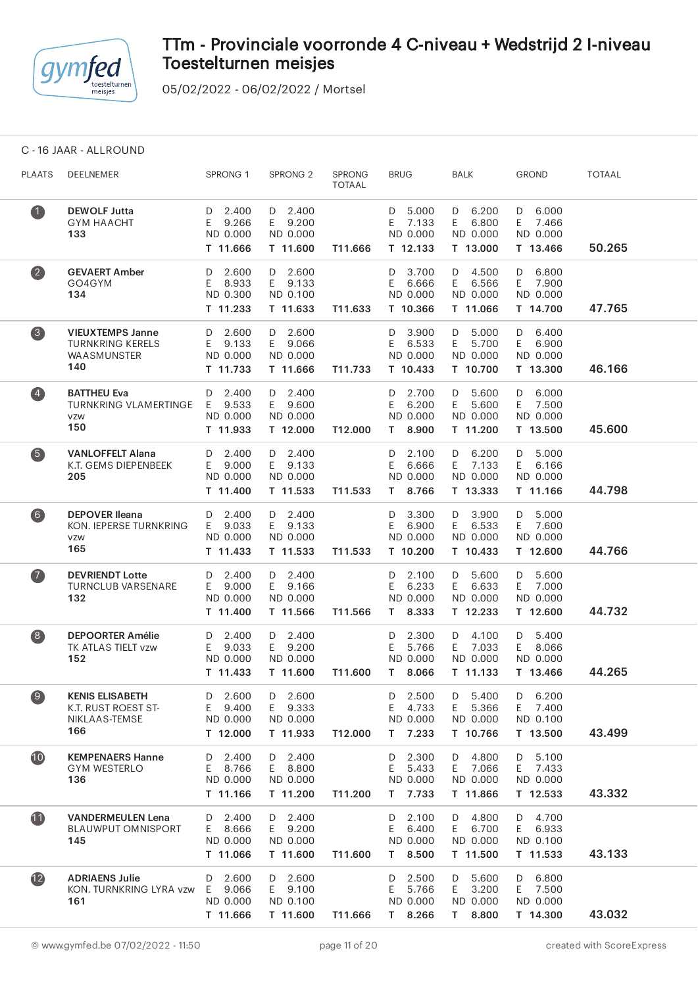

05/02/2022 - 06/02/2022 / Mortsel

C - 16 JAAR - ALLROUND

| <b>PLAATS</b>     | DEELNEMER                                                                | SPRONG 1                                          | SPRONG <sub>2</sub>                          | SPRONG<br><b>TOTAAL</b> | <b>BRUG</b>                                       | BALK                                                | <b>GROND</b>                                      | <b>TOTAAL</b> |
|-------------------|--------------------------------------------------------------------------|---------------------------------------------------|----------------------------------------------|-------------------------|---------------------------------------------------|-----------------------------------------------------|---------------------------------------------------|---------------|
| $\mathbf 1$       | <b>DEWOLF Jutta</b><br><b>GYM HAACHT</b><br>133                          | D 2.400<br>E 9.266<br>ND 0.000<br>T 11.666        | D 2.400<br>E 9.200<br>ND 0.000<br>T 11.600   | T11.666                 | D 5.000<br>E 7.133<br>ND 0.000<br>T 12.133        | $D$ 6.200<br>E 6.800<br>ND 0.000<br>T 13.000        | D 6.000<br>E 7.466<br>ND 0.000<br>T 13.466        | 50.265        |
| $\left( 2\right)$ | <b>GEVAERT Amber</b><br>GO4GYM<br>134                                    | D 2.600<br>E 8.933<br>ND 0.300<br>T 11.233        | $D$ 2.600<br>E 9.133<br>ND 0.100<br>T 11.633 | T11.633                 | D 3.700<br>E 6.666<br>ND 0.000<br>T 10.366        | D 4.500<br>E 6.566<br>ND 0.000<br>T 11.066          | $D$ 6.800<br>E 7.900<br>ND 0.000<br>T 14.700      | 47.765        |
| $\left(3\right)$  | <b>VIEUXTEMPS Janne</b><br><b>TURNKRING KERELS</b><br>WAASMUNSTER<br>140 | D 2.600<br>E 9.133<br>ND 0.000<br>T 11.733        | D 2.600<br>E 9.066<br>ND 0.000<br>T 11.666   | T11.733                 | D 3.900<br>E 6.533<br>ND 0.000<br>T 10.433        | D 5.000<br>E 5.700<br>ND 0.000<br>T 10.700          | D 6.400<br>E 6.900<br>ND 0.000<br>T 13.300        | 46.166        |
| $\left( 4\right)$ | <b>BATTHEU Eva</b><br><b>TURNKRING VLAMERTINGE</b><br>VZW<br>150         | D 2.400<br>E 9.533<br>ND 0.000<br>T 11.933        | $D$ 2.400<br>E 9.600<br>ND 0.000<br>T 12.000 | T12.000                 | D 2.700<br>6.200<br>E<br>ND 0.000<br>T 8.900      | D 5.600<br>E 5.600<br>ND 0.000<br>T 11.200          | D 6.000<br>E 7.500<br>ND 0.000<br>T 13.500        | 45.600        |
| 6                 | <b>VANLOFFELT Alana</b><br>K.T. GEMS DIEPENBEEK<br>205                   | D 2.400<br>E 9.000<br>ND 0.000<br>T 11.400        | D 2.400<br>E 9.133<br>ND 0.000<br>T 11.533   | T11.533                 | $D$ 2.100<br>6.666<br>E.<br>ND 0.000<br>T 8.766   | D 6.200<br>E 7.133<br>ND 0.000<br>T 13.333          | D 5.000<br>E 6.166<br>ND 0.000<br>T 11.166        | 44.798        |
| $\bullet$         | <b>DEPOVER Ileana</b><br>KON. IEPERSE TURNKRING<br>VZW<br>165            | D 2.400<br>E 9.033<br>ND 0.000<br>T 11.433        | D 2.400<br>E 9.133<br>ND 0.000<br>T 11.533   | T11.533                 | D 3.300<br>E 6.900<br>ND 0.000<br>T 10.200        | D 3.900<br>E 6.533<br>ND 0.000<br>T 10.433          | D 5.000<br>E 7.600<br>ND 0.000<br>T 12.600        | 44.766        |
| $\bullet$         | <b>DEVRIENDT Lotte</b><br><b>TURNCLUB VARSENARE</b><br>132               | D 2.400<br>E 9.000<br>ND 0.000<br>T 11.400        | D 2.400<br>E 9.166<br>ND 0.000<br>T 11.566   | T11.566                 | D 2.100<br>E 6.233<br>ND 0.000<br>T 8.333         | D 5.600<br>E 6.633<br>ND 0.000<br>T 12.233          | 5.600<br>D<br>E 7.000<br>ND 0.000<br>T 12.600     | 44.732        |
| $\left( 8\right)$ | <b>DEPOORTER Amélie</b><br>TK ATLAS TIELT vzw<br>152                     | $D$ 2.400<br>E 9.033<br>ND 0.000<br>T 11.433      | $D$ 2.400<br>E 9.200<br>ND 0.000<br>T 11.600 | T11.600                 | D 2.300<br>5.766<br>E.<br>ND 0.000<br>T 8.066     | D 4.100<br>E 7.033<br>ND 0.000<br>T 11.133          | D 5.400<br>E 8.066<br>ND 0.000<br>T 13.466        | 44.265        |
| 9                 | <b>KENIS ELISABETH</b><br>K.T. RUST ROEST ST-<br>NIKLAAS-TEMSE<br>166    | 2.600<br>D<br>9.400<br>E.<br>ND 0.000<br>T 12.000 | D 2.600<br>E 9.333<br>ND 0.000<br>T 11.933   | T12.000                 | 2.500<br>D<br>4.733<br>E<br>ND 0.000<br>$T$ 7.233 | 5.400<br>D<br>E.<br>5.366<br>ND 0.000<br>T 10.766   | 6.200<br>D<br>Ε<br>7.400<br>ND 0.100<br>T 13.500  | 43.499        |
| 10                | <b>KEMPENAERS Hanne</b><br><b>GYM WESTERLO</b><br>136                    | 2.400<br>D<br>8.766<br>E.<br>ND 0.000<br>T 11.166 | $D$ 2.400<br>E 8.800<br>ND 0.000<br>T 11.200 | T11.200                 | 2.300<br>D<br>5.433<br>E.<br>ND 0.000<br>T 7.733  | 4.800<br>D<br>E 7.066<br>ND 0.000<br>T 11.866       | 5.100<br>D<br>7.433<br>E.<br>ND 0.000<br>T 12.533 | 43.332        |
| 1                 | <b>VANDERMEULEN Lena</b><br><b>BLAUWPUT OMNISPORT</b><br>145             | 2.400<br>D<br>8.666<br>E.<br>ND 0.000<br>T 11.066 | D 2.400<br>E 9.200<br>ND 0.000<br>T 11.600   | T11.600                 | 2.100<br>D<br>6.400<br>E.<br>ND 0.000<br>T 8.500  | D 4.800<br>6.700<br>E<br>ND 0.000<br>T 11.500       | D 4.700<br>6.933<br>E.<br>ND 0.100<br>T 11.533    | 43.133        |
| $\overline{12}$   | <b>ADRIAENS Julie</b><br>KON. TURNKRING LYRA vzw<br>161                  | 2.600<br>D<br>9.066<br>E.<br>ND 0.000<br>T 11.666 | D 2.600<br>E 9.100<br>ND 0.100<br>T 11.600   | T11.666                 | 2.500<br>D<br>E.<br>5.766<br>ND 0.000<br>T 8.266  | 5.600<br>D<br>E<br>3.200<br>ND 0.000<br>8.800<br>T. | 6.800<br>D<br>E<br>7.500<br>ND 0.000<br>T 14.300  | 43.032        |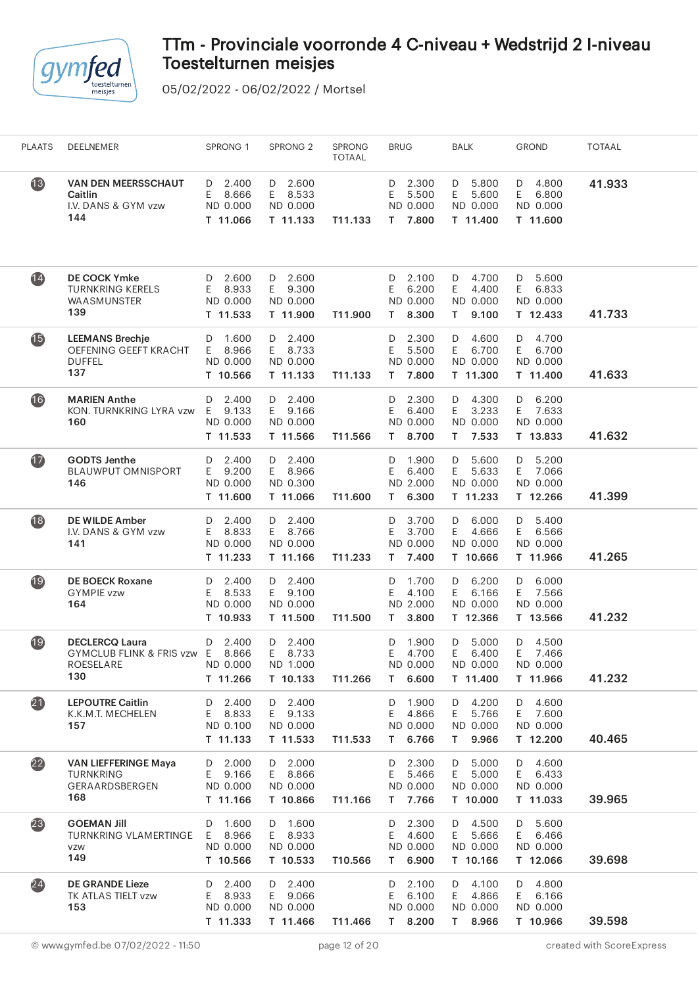

| <b>PLAATS</b>            | DEELNEMER                                                                     | SPRONG 1                                          | SPRONG <sub>2</sub>                           | <b>SPRONG</b><br><b>TOTAAL</b> | <b>BRUG</b>                                         | BALK                                                 | <b>GROND</b>                                      | <b>TOTAAL</b> |  |
|--------------------------|-------------------------------------------------------------------------------|---------------------------------------------------|-----------------------------------------------|--------------------------------|-----------------------------------------------------|------------------------------------------------------|---------------------------------------------------|---------------|--|
| $\overline{13}$          | <b>VAN DEN MEERSSCHAUT</b><br>Caitlin<br>I.V. DANS & GYM vzw<br>144           | 2.400<br>D<br>E.<br>8.666<br>ND 0.000<br>T 11.066 | 2.600<br>D<br>E 8.533<br>ND 0.000<br>T 11.133 | T11.133                        | 2.300<br>D<br>5.500<br>Ε<br>ND 0.000<br>7.800<br>T. | 5.800<br>D<br>5.600<br>E.<br>ND 0.000<br>T 11.400    | 4.800<br>D<br>E<br>6.800<br>ND 0.000<br>T 11.600  | 41.933        |  |
| $\overline{14}$          | <b>DE COCK Ymke</b><br><b>TURNKRING KERELS</b><br>WAASMUNSTER<br>139          | 2.600<br>D<br>8.933<br>E.<br>ND 0.000<br>T 11.533 | $D$ 2.600<br>E 9.300<br>ND 0.000<br>T 11.900  | T11.900                        | 2.100<br>D<br>6.200<br>Ε<br>ND 0.000<br>8.300<br>T. | D 4.700<br>E.<br>4.400<br>ND 0.000<br>9.100<br>T.    | 5.600<br>D<br>E<br>6.833<br>ND 0.000<br>T 12.433  | 41.733        |  |
| $\overline{\mathbf{15}}$ | <b>LEEMANS Brechje</b><br>OEFENING GEEFT KRACHT<br><b>DUFFEL</b><br>137       | 1.600<br>D<br>8.966<br>E.<br>ND 0.000<br>T 10.566 | D 2.400<br>E 8.733<br>ND 0.000<br>T 11.133    | T11.133                        | 2.300<br>D<br>5.500<br>Ε<br>ND 0.000<br>T 7.800     | D<br>4.600<br>E.<br>6.700<br>ND 0.000<br>T 11.300    | 4.700<br>D<br>6.700<br>E.<br>ND 0.000<br>T 11.400 | 41.633        |  |
| 16                       | <b>MARIEN Anthe</b><br>KON. TURNKRING LYRA vzw<br>160                         | $D$ 2.400<br>9.133<br>E.<br>ND 0.000<br>T 11.533  | D 2.400<br>E 9.166<br>ND 0.000<br>T 11.566    | T11.566                        | 2.300<br>D<br>6.400<br>Ε<br>ND 0.000<br>T 8.700     | D 4.300<br>3.233<br>E.<br>ND 0.000<br>T 7.533        | 6.200<br>D<br>7.633<br>E.<br>ND 0.000<br>T 13.833 | 41.632        |  |
| $\overline{1}$           | <b>GODTS Jenthe</b><br><b>BLAUWPUT OMNISPORT</b><br>146                       | 2.400<br>D<br>E.<br>9.200<br>ND 0.000<br>T 11.600 | D 2.400<br>E 8.966<br>ND 0.300<br>T 11.066    | T11.600                        | 1.900<br>D<br>Ε<br>6.400<br>ND 2.000<br>6.300<br>T. | 5.600<br>D<br>E.<br>5.633<br>ND 0.000<br>T 11.233    | 5.200<br>D<br>E<br>7.066<br>ND 0.000<br>T 12.266  | 41.399        |  |
| $\overline{18}$          | <b>DE WILDE Amber</b><br>I.V. DANS & GYM vzw<br>141                           | 2.400<br>D<br>8.833<br>E.<br>ND 0.000<br>T 11.233 | $D$ 2.400<br>E 8.766<br>ND 0.000<br>T 11.166  | T11.233                        | 3.700<br>D<br>Ε<br>3.700<br>ND 0.000<br>7.400<br>T. | D<br>6.000<br>4.666<br>E.<br>ND 0.000<br>T 10.666    | 5.400<br>D<br>E<br>6.566<br>ND 0.000<br>T 11.966  | 41.265        |  |
| $\overline{19}$          | <b>DE BOECK Roxane</b><br><b>GYMPIE vzw</b><br>164                            | D 2.400<br>8.533<br>E.<br>ND 0.000<br>T 10.933    | D 2.400<br>E 9.100<br>ND 0.000<br>T 11.500    | T11.500                        | 1.700<br>D<br>Ε<br>4.100<br>ND 2.000<br>3.800<br>T. | D 6.200<br>6.166<br>E.<br>ND 0.000<br>T 12.366       | 6.000<br>D<br>7.566<br>E<br>ND 0.000<br>T 13.566  | 41.232        |  |
| 19                       | <b>DECLERCQ Laura</b><br>GYMCLUB FLINK & FRIS vzw E 8.866<br>ROESELARE<br>130 | 2.400<br>D<br>ND 0.000<br>T 11.266                | 2.400<br>D<br>E 8.733<br>ND 1.000<br>T 10.133 | T11.266                        | 1.900<br>D<br>Ε<br>4.700<br>ND 0.000<br>6.600<br>T. | 5.000<br>D<br>6.400<br>E.<br>ND 0.000<br>T 11.400    | 4.500<br>D<br>E 7.466<br>ND 0.000<br>T 11.966     | 41.232        |  |
| $\boldsymbol{21}$        | <b>LEPOUTRE Caitlin</b><br>K.K.M.T. MECHELEN<br>157                           | 2.400<br>D<br>8.833<br>E.<br>ND 0.100<br>T 11.133 | D 2.400<br>E 9.133<br>ND 0.000<br>T 11.533    | T11.533                        | 1.900<br>D<br>Ε<br>4.866<br>ND 0.000<br>T 6.766     | 4.200<br>D<br>E.<br>5.766<br>ND 0.000<br>9.966<br>T. | 4.600<br>D<br>E<br>7.600<br>ND 0.000<br>T 12.200  | 40.465        |  |
| $\overline{22}$          | <b>VAN LIEFFERINGE Maya</b><br><b>TURNKRING</b><br>GERAARDSBERGEN<br>168      | 2.000<br>D<br>9.166<br>E.<br>ND 0.000<br>T 11.166 | $D$ 2.000<br>E 8.866<br>ND 0.000<br>T 10.866  | T11.166                        | 2.300<br>D<br>5.466<br>E<br>ND 0.000<br>T 7.766     | 5.000<br>D<br>5.000<br>E.<br>ND 0.000<br>T 10.000    | 4.600<br>D<br>E.<br>6.433<br>ND 0.000<br>T 11.033 | 39.965        |  |
| (23)                     | <b>GOEMAN Jill</b><br><b>TURNKRING VLAMERTINGE</b><br>VZW<br>149              | 1.600<br>D<br>8.966<br>E.<br>ND 0.000<br>T 10.566 | D 1.600<br>E 8.933<br>ND 0.000<br>T 10.533    | T10.566                        | 2.300<br>D<br>E<br>4.600<br>ND 0.000<br>6.900<br>T. | 4.500<br>D<br>E.<br>5.666<br>ND 0.000<br>T 10.166    | 5.600<br>D<br>E.<br>6.466<br>ND 0.000<br>T 12.066 | 39.698        |  |
| (24)                     | <b>DE GRANDE Lieze</b><br>TK ATLAS TIELT vzw<br>153                           | 2.400<br>D<br>8.933<br>E.<br>ND 0.000<br>T 11.333 | D 2.400<br>E 9.066<br>ND 0.000<br>T 11.466    | T11.466                        | 2.100<br>D<br>6.100<br>Ε<br>ND 0.000<br>T 8.200     | D 4.100<br>4.866<br>E.<br>ND 0.000<br>T 8.966        | 4.800<br>D<br>6.166<br>E.<br>ND 0.000<br>T 10.966 | 39.598        |  |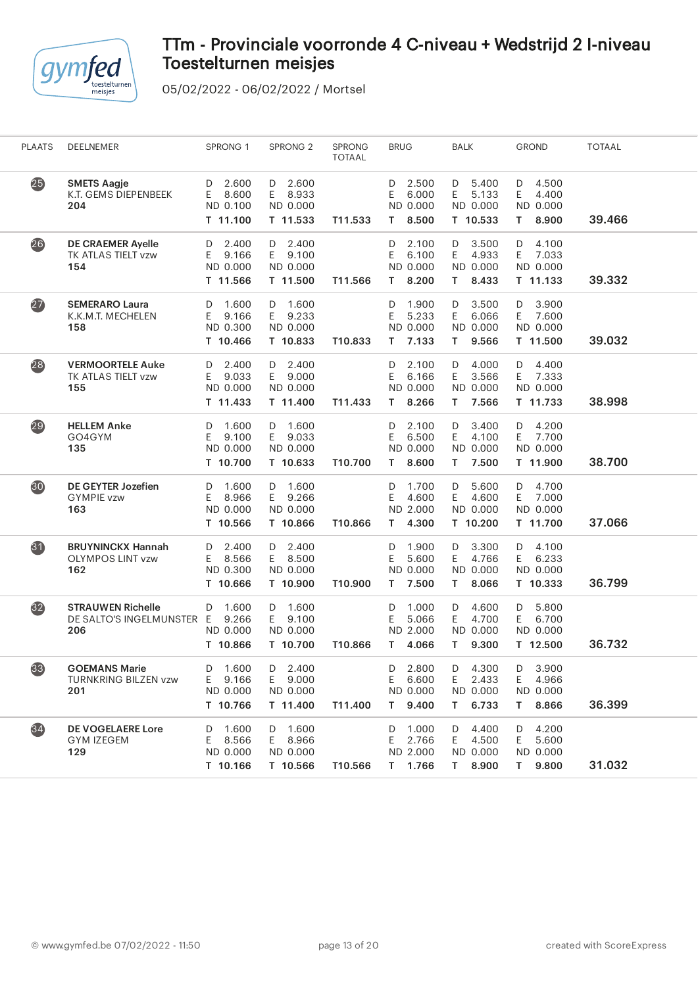

| <b>PLAATS</b>     | DEELNEMER                                                    | SPRONG 1                                          | SPRONG <sub>2</sub>                               | SPRONG<br><b>TOTAAL</b> | <b>BRUG</b>                                         | BALK                                                 | <b>GROND</b>                                        | <b>TOTAAL</b> |
|-------------------|--------------------------------------------------------------|---------------------------------------------------|---------------------------------------------------|-------------------------|-----------------------------------------------------|------------------------------------------------------|-----------------------------------------------------|---------------|
| 25)               | <b>SMETS Aagje</b><br>K.T. GEMS DIEPENBEEK<br>204            | 2.600<br>D<br>8.600<br>E<br>ND 0.100<br>T 11.100  | $D$ 2.600<br>E<br>8.933<br>ND 0.000<br>T 11.533   | T11.533                 | 2.500<br>D<br>6.000<br>E<br>ND 0.000<br>8.500<br>T. | 5.400<br>D<br>5.133<br>E.<br>ND 0.000<br>T 10.533    | 4.500<br>D<br>E<br>4.400<br>ND 0.000<br>8.900<br>T. | 39.466        |
| 26                | DE CRAEMER Ayelle<br>TK ATLAS TIELT vzw<br>154               | 2.400<br>D<br>E<br>9.166<br>ND 0.000<br>T 11.566  | 2.400<br>D<br>E.<br>9.100<br>ND 0.000<br>T 11.500 | T11.566                 | 2.100<br>D<br>Ε<br>6.100<br>ND 0.000<br>8.200<br>T. | 3.500<br>D<br>E<br>4.933<br>ND 0.000<br>8.433<br>T.  | 4.100<br>D<br>E<br>7.033<br>ND 0.000<br>T 11.133    | 39.332        |
| $\overline{27}$   | <b>SEMERARO Laura</b><br>K.K.M.T. MECHELEN<br>158            | 1.600<br>D<br>E<br>9.166<br>ND 0.300<br>T 10.466  | 1.600<br>D<br>9.233<br>E.<br>ND 0.000<br>T 10.833 | T10.833                 | 1.900<br>D<br>5.233<br>Ε<br>ND 0.000<br>7.133<br>T. | D<br>3.500<br>E.<br>6.066<br>ND 0.000<br>9.566<br>T. | 3.900<br>D<br>7.600<br>E<br>ND 0.000<br>T 11.500    | 39.032        |
| (28)              | <b>VERMOORTELE Auke</b><br>TK ATLAS TIELT vzw<br>155         | 2.400<br>D<br>9.033<br>E.<br>ND 0.000<br>T 11.433 | 2.400<br>D<br>9.000<br>E.<br>ND 0.000<br>T 11.400 | T11.433                 | 2.100<br>D<br>6.166<br>Ε<br>ND 0.000<br>8.266<br>T. | D<br>4.000<br>3.566<br>E.<br>ND 0.000<br>7.566<br>T. | D<br>4.400<br>E<br>7.333<br>ND 0.000<br>T 11.733    | 38.998        |
| 29                | <b>HELLEM Anke</b><br>GO4GYM<br>135                          | 1.600<br>D<br>E<br>9.100<br>ND 0.000<br>T 10.700  | D 1.600<br>E<br>9.033<br>ND 0.000<br>T 10.633     | T10.700                 | 2.100<br>D<br>Ε<br>6.500<br>ND 0.000<br>8.600<br>T. | 3.400<br>D<br>E.<br>4.100<br>ND 0.000<br>7.500<br>T. | 4.200<br>D<br>E.<br>7.700<br>ND 0.000<br>T 11.900   | 38.700        |
| 30 <sub>o</sub>   | <b>DE GEYTER Jozefien</b><br><b>GYMPIE vzw</b><br>163        | 1.600<br>D<br>8.966<br>Ε<br>ND 0.000<br>T 10.566  | 1.600<br>D<br>E.<br>9.266<br>ND 0.000<br>T 10.866 | T10.866                 | 1.700<br>D<br>4.600<br>Ε<br>ND 2.000<br>4.300<br>T. | 5.600<br>D<br>E.<br>4.600<br>ND 0.000<br>T 10.200    | 4.700<br>D<br>7.000<br>E<br>ND 0.000<br>T 11.700    | 37.066        |
| $\bf{31}$         | <b>BRUYNINCKX Hannah</b><br><b>OLYMPOS LINT vzw</b><br>162   | 2.400<br>D<br>E<br>8.566<br>ND 0.300<br>T 10.666  | D 2.400<br>E.<br>8.500<br>ND 0.000<br>T 10.900    | T10.900                 | 1.900<br>D<br>Ε<br>5.600<br>ND 0.000<br>7.500<br>T. | 3.300<br>D<br>E.<br>4.766<br>ND 0.000<br>8.066<br>T. | 4.100<br>D<br>E<br>6.233<br>ND 0.000<br>T 10.333    | 36.799        |
| $\overline{32}$   | <b>STRAUWEN Richelle</b><br>DE SALTO'S INGELMUNSTER E<br>206 | 1.600<br>D<br>9.266<br>ND 0.000<br>T 10.866       | 1.600<br>D<br>9.100<br>E<br>ND 0.000<br>T 10.700  | T10.866                 | 1.000<br>D<br>5.066<br>Ε<br>ND 2.000<br>4.066<br>T. | D<br>4.600<br>E.<br>4.700<br>ND 0.000<br>T.<br>9.300 | 5.800<br>D<br>6.700<br>E.<br>ND 0.000<br>T 12.500   | 36.732        |
| $\left(33\right)$ | <b>GOEMANS Marie</b><br>TURNKRING BILZEN vzw<br>201          | 1.600<br>D<br>9.166<br>E.<br>ND 0.000<br>T 10.766 | 2.400<br>D<br>9.000<br>E.<br>ND 0.000<br>T 11.400 | T11.400                 | $D$ 2.800<br>Ε<br>6.600<br>ND 0.000<br>T 9.400      | 4.300<br>D<br>2.433<br>E.<br>ND 0.000<br>6.733<br>T. | 3.900<br>D<br>Ε<br>4.966<br>ND 0.000<br>T 8.866     | 36.399        |
| (34)              | <b>DE VOGELAERE Lore</b><br><b>GYM IZEGEM</b><br>129         | D 1.600<br>E.<br>8.566<br>ND 0.000<br>T 10.166    | D 1.600<br>E<br>8.966<br>ND 0.000<br>T 10.566     | T10.566                 | 1.000<br>D<br>2.766<br>E.<br>ND 2.000<br>T 1.766    | D<br>4.400<br>E.<br>4.500<br>ND 0.000<br>8.900<br>T. | 4.200<br>D<br>E<br>5.600<br>ND 0.000<br>9.800<br>T. | 31.032        |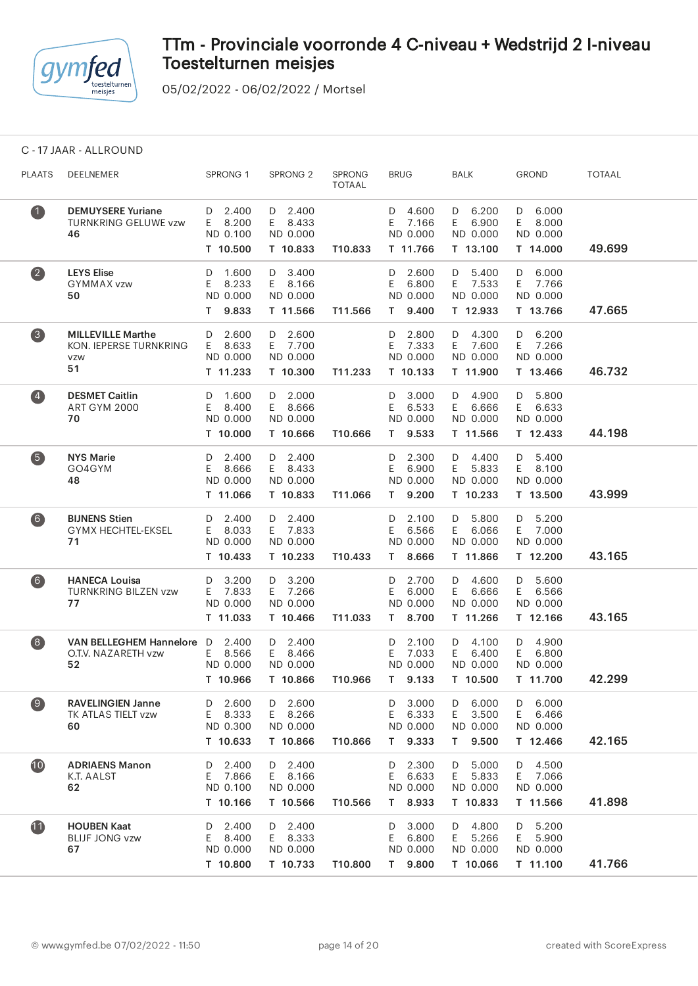

05/02/2022 - 06/02/2022 / Mortsel

C - 17 JAAR - ALLROUND

| <b>PLAATS</b>           | DEELNEMER                                                              | SPRONG 1                                           | SPRONG <sub>2</sub>                               | <b>SPRONG</b><br><b>TOTAAL</b> | <b>BRUG</b>                                         | <b>BALK</b>                                         | <b>GROND</b>                                      | <b>TOTAAL</b> |
|-------------------------|------------------------------------------------------------------------|----------------------------------------------------|---------------------------------------------------|--------------------------------|-----------------------------------------------------|-----------------------------------------------------|---------------------------------------------------|---------------|
| $\bullet$               | <b>DEMUYSERE Yuriane</b><br><b>TURNKRING GELUWE vzw</b><br>46          | $D$ 2.400<br>8.200<br>E.<br>ND 0.100<br>T 10.500   | $D$ 2.400<br>E.<br>8.433<br>ND 0.000<br>T 10.833  | T10.833                        | D 4.600<br>7.166<br>E<br>ND 0.000<br>T 11.766       | 6.200<br>D<br>E<br>6.900<br>ND 0.000<br>T 13.100    | 6.000<br>D<br>E.<br>8.000<br>ND 0.000<br>T 14.000 | 49.699        |
| $\overline{\mathbf{2}}$ | <b>LEYS Elise</b><br><b>GYMMAX vzw</b><br>50                           | 1.600<br>D<br>8.233<br>Ε<br>ND 0.000<br>9.833<br>Τ | 3.400<br>D<br>E 8.166<br>ND 0.000<br>T 11.566     | T11.566                        | 2.600<br>D<br>Ε<br>6.800<br>ND 0.000<br>9.400<br>T. | 5.400<br>D<br>7.533<br>E.<br>ND 0.000<br>T 12.933   | 6.000<br>D<br>7.766<br>E<br>ND 0.000<br>T 13.766  | 47.665        |
| $\left(3\right)$        | <b>MILLEVILLE Marthe</b><br>KON. IEPERSE TURNKRING<br><b>VZW</b><br>51 | 2.600<br>D<br>8.633<br>E.<br>ND 0.000<br>T 11.233  | $D$ 2.600<br>E 7.700<br>ND 0.000<br>T 10.300      | T11.233                        | 2.800<br>D<br>7.333<br>E<br>ND 0.000<br>T 10.133    | 4.300<br>D<br>7.600<br>E.<br>ND 0.000<br>T 11.900   | 6.200<br>D<br>7.266<br>E<br>ND 0.000<br>T 13.466  | 46.732        |
| $\left( 4\right)$       | <b>DESMET Caitlin</b><br><b>ART GYM 2000</b><br>70                     | 1.600<br>D<br>8.400<br>E.<br>ND 0.000<br>T 10.000  | $D = 2.000$<br>E 8.666<br>ND 0.000<br>T 10.666    | T10.666                        | 3.000<br>D<br>6.533<br>E<br>ND 0.000<br>9.533<br>Τ. | 4.900<br>D<br>E.<br>6.666<br>ND 0.000<br>T 11.566   | 5.800<br>D<br>E<br>6.633<br>ND 0.000<br>T 12.433  | 44.198        |
| 6                       | <b>NYS Marie</b><br>GO4GYM<br>48                                       | D<br>2.400<br>8.666<br>E.<br>ND 0.000<br>T 11.066  | $D$ 2.400<br>E.<br>8.433<br>ND 0.000<br>T 10.833  | T11.066                        | 2.300<br>D<br>6.900<br>E<br>ND 0.000<br>9.200<br>T. | 4.400<br>D<br>E.<br>5.833<br>ND 0.000<br>T 10.233   | 5.400<br>D<br>E<br>8.100<br>ND 0.000<br>T 13.500  | 43.999        |
| $\bullet$               | <b>BIJNENS Stien</b><br><b>GYMX HECHTEL-EKSEL</b><br>71                | 2.400<br>D<br>8.033<br>E.<br>ND 0.000<br>T 10.433  | D 2.400<br>E 7.833<br>ND 0.000<br>T 10.233        | T10.433                        | 2.100<br>D<br>E<br>6.566<br>ND 0.000<br>8.666<br>T. | 5.800<br>D<br>6.066<br>E.<br>ND 0.000<br>T 11.866   | 5.200<br>D<br>7.000<br>E<br>ND 0.000<br>T 12.200  | 43.165        |
| (6)                     | <b>HANECA Louisa</b><br><b>TURNKRING BILZEN vzw</b><br>77              | 3.200<br>D<br>7.833<br>E.<br>ND 0.000<br>T 11.033  | $D$ 3.200<br>E 7.266<br>ND 0.000<br>T 10.466      | T11.033                        | 2.700<br>D<br>6.000<br>Ε<br>ND 0.000<br>8.700<br>T. | D 4.600<br>6.666<br>E.<br>ND 0.000<br>T 11.266      | 5.600<br>D<br>6.566<br>E.<br>ND 0.000<br>T 12.166 | 43.165        |
| $\left( 8\right)$       | VAN BELLEGHEM Hannelore D<br>O.T.V. NAZARETH vzw<br>52                 | 2.400<br>8.566<br>E.<br>ND 0.000<br>T 10.966       | $D$ 2.400<br>8.466<br>E.<br>ND 0.000<br>T 10.866  | T10.966                        | 2.100<br>D<br>7.033<br>E<br>ND 0.000<br>9.133<br>T. | 4.100<br>D<br>6.400<br>E.<br>ND 0.000<br>T 10.500   | 4.900<br>D<br>6.800<br>E.<br>ND 0.000<br>T 11.700 | 42.299        |
| $\left( 9\right)$       | <b>RAVELINGIEN Janne</b><br>TK ATLAS TIELT vzw<br>60                   | 2.600<br>D<br>Ε<br>8.333<br>ND 0.300<br>T 10.633   | 2.600<br>D<br>E.<br>8.266<br>ND 0.000<br>T 10.866 | T10.866                        | 3.000<br>D<br>Ε<br>6.333<br>ND 0.000<br>9.333<br>T. | 6.000<br>D<br>Ε<br>3.500<br>ND 0.000<br>9.500<br>T. | 6.000<br>D<br>Ε<br>6.466<br>ND 0.000<br>T 12.466  | 42.165        |
| 10                      | <b>ADRIAENS Manon</b><br>K.T. AALST<br>62                              | 2.400<br>D<br>7.866<br>E.<br>ND 0.100<br>T 10.166  | 2.400<br>D<br>E 8.166<br>ND 0.000<br>T 10.566     | T10.566                        | 2.300<br>D<br>Ε<br>6.633<br>ND 0.000<br>T 8.933     | 5.000<br>D<br>E<br>5.833<br>ND 0.000<br>T 10.833    | 4.500<br>D<br>7.066<br>E<br>ND 0.000<br>T 11.566  | 41.898        |
| $\mathbf{1}$            | <b>HOUBEN Kaat</b><br><b>BLIJF JONG vzw</b><br>67                      | 2.400<br>D<br>8.400<br>E.<br>ND 0.000<br>T 10.800  | 2.400<br>D<br>E 8.333<br>ND 0.000<br>T 10.733     | T10.800                        | 3.000<br>D<br>6.800<br>Ε<br>ND 0.000<br>9.800<br>Т. | 4.800<br>D<br>5.266<br>E.<br>ND 0.000<br>T 10.066   | 5.200<br>D<br>5.900<br>E.<br>ND 0.000<br>T 11.100 | 41.766        |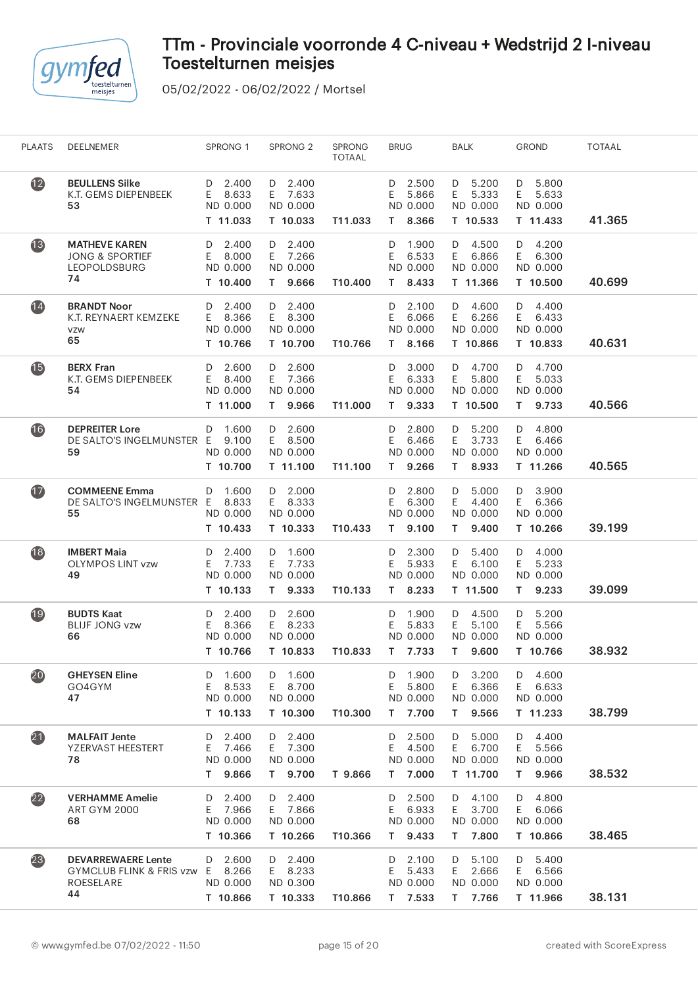

| <b>PLAATS</b>            | DEELNEMER                                                                                  | SPRONG 1                                            | SPRONG <sub>2</sub>                                  | <b>SPRONG</b><br><b>TOTAAL</b> | <b>BRUG</b>                                         | BALK                                                 | <b>GROND</b>                                        | <b>TOTAAL</b> |  |
|--------------------------|--------------------------------------------------------------------------------------------|-----------------------------------------------------|------------------------------------------------------|--------------------------------|-----------------------------------------------------|------------------------------------------------------|-----------------------------------------------------|---------------|--|
| $\mathbf{12}$            | <b>BEULLENS Silke</b><br>K.T. GEMS DIEPENBEEK<br>53                                        | 2.400<br>D<br>8.633<br>E.<br>ND 0.000<br>T 11.033   | $D$ 2.400<br>E 7.633<br>ND 0.000<br>T 10.033         | T11.033                        | 2.500<br>D<br>5.866<br>E<br>ND 0.000<br>8.366<br>T. | D 5.200<br>5.333<br>E.<br>ND 0.000<br>T 10.533       | 5.800<br>D<br>E<br>5.633<br>ND 0.000<br>T 11.433    | 41.365        |  |
| 13                       | <b>MATHEVE KAREN</b><br><b>JONG &amp; SPORTIEF</b><br><b>LEOPOLDSBURG</b><br>74            | 2.400<br>D<br>E.<br>8.000<br>ND 0.000<br>T 10.400   | $D$ 2.400<br>E 7.266<br>ND 0.000<br>T 9.666          | T10.400                        | 1.900<br>D<br>6.533<br>E<br>ND 0.000<br>8.433<br>T. | D 4.500<br>E.<br>6.866<br>ND 0.000<br>T 11.366       | 4.200<br>D<br>E.<br>6.300<br>ND 0.000<br>T 10.500   | 40.699        |  |
| 14                       | <b>BRANDT Noor</b><br>K.T. REYNAERT KEMZEKE<br>VZW<br>65                                   | 2.400<br>D<br>8.366<br>E.<br>ND 0.000<br>T 10.766   | $D$ 2.400<br>E 8.300<br>ND 0.000<br>T 10.700         | T10.766                        | 2.100<br>D<br>6.066<br>Ε<br>ND 0.000<br>T 8.166     | D 4.600<br>6.266<br>E.<br>ND 0.000<br>T 10.866       | 4.400<br>D<br>E.<br>6.433<br>ND 0.000<br>T 10.833   | 40.631        |  |
| <b>15</b>                | <b>BERX Fran</b><br>K.T. GEMS DIEPENBEEK<br>54                                             | 2.600<br>D<br>8.400<br>E.<br>ND 0.000<br>T 11.000   | $D$ 2.600<br>E 7.366<br>ND 0.000<br>T 9.966          | T11.000                        | 3.000<br>D<br>Ε<br>6.333<br>ND 0.000<br>9.333<br>T. | D 4.700<br>5.800<br>E.<br>ND 0.000<br>T 10.500       | 4.700<br>D<br>E<br>5.033<br>ND 0.000<br>T 9.733     | 40.566        |  |
| $\overline{\mathbf{16}}$ | <b>DEPREITER Lore</b><br>DE SALTO'S INGELMUNSTER E 9.100<br>59                             | D 1.600<br>ND 0.000<br>T 10.700                     | $D$ 2.600<br>E 8.500<br>ND 0.000<br>T 11.100         | T11.100                        | 2.800<br>D<br>E<br>6.466<br>ND 0.000<br>9.266<br>T. | 5.200<br>D<br>3.733<br>E.<br>ND 0.000<br>T 8.933     | 4.800<br>D<br>E<br>6.466<br>ND 0.000<br>T 11.266    | 40.565        |  |
| $\mathbf{1}$             | <b>COMMEENE</b> Emma<br>DE SALTO'S INGELMUNSTER E<br>55                                    | D 1.600<br>8.833<br>ND 0.000<br>T 10.433            | D 2.000<br>E.<br>8.333<br>ND 0.000<br>T 10.333       | T10.433                        | 2.800<br>D<br>Ε<br>6.300<br>ND 0.000<br>9.100<br>T. | 5.000<br>D<br>E.<br>4.400<br>ND 0.000<br>9.400<br>T. | 3.900<br>D<br>E.<br>6.366<br>ND 0.000<br>T 10.266   | 39.199        |  |
| 18                       | <b>IMBERT Maia</b><br><b>OLYMPOS LINT vzw</b><br>49                                        | 2.400<br>D<br>7.733<br>E.<br>ND 0.000<br>T 10.133   | D 1.600<br>E 7.733<br>ND 0.000<br>T 9.333            | T10.133                        | 2.300<br>D<br>5.933<br>Ε<br>ND 0.000<br>T.<br>8.233 | D<br>5.400<br>6.100<br>E.<br>ND 0.000<br>T 11.500    | 4.000<br>D<br>5.233<br>E<br>ND 0.000<br>T.<br>9.233 | 39.099        |  |
| $\overline{19}$          | <b>BUDTS Kaat</b><br><b>BLIJF JONG vzw</b><br>66                                           | 2.400<br>D<br>8.366<br>E.<br>ND 0.000<br>T 10.766   | D 2.600<br>8.233<br>E.<br>ND 0.000<br>T 10.833       | T10.833                        | 1.900<br>D<br>Ε<br>5.833<br>ND 0.000<br>T 7.733     | D 4.500<br>5.100<br>E.<br>ND 0.000<br>9.600<br>T.    | 5.200<br>D<br>E<br>5.566<br>ND 0.000<br>T 10.766    | 38.932        |  |
| 20                       | <b>GHEYSEN Eline</b><br>GO4GYM<br>47                                                       | 1.600<br>D<br>8.533<br>E.<br>ND 0.000<br>T 10.133   | 1.600<br>D<br>8.700<br>E.<br>ND 0.000<br>T 10.300    | T10.300                        | 1.900<br>D<br>Ε<br>5.800<br>ND 0.000<br>7.700<br>T. | 3.200<br>D<br>6.366<br>E.<br>ND 0.000<br>9.566<br>T. | D<br>4.600<br>E<br>6.633<br>ND 0.000<br>T 11.233    | 38.799        |  |
| $\boldsymbol{21}$        | <b>MALFAIT Jente</b><br>YZERVAST HEESTERT<br>78                                            | 2.400<br>D<br>Ε<br>7.466<br>ND 0.000<br>9.866<br>T. | 2.400<br>D<br>E<br>7.300<br>ND 0.000<br>9.700<br>T = | T 9.866                        | 2.500<br>D<br>Ε<br>4.500<br>ND 0.000<br>7.000<br>T. | 5.000<br>D<br>E.<br>6.700<br>ND 0.000<br>T 11.700    | 4.400<br>D<br>E<br>5.566<br>ND 0.000<br>9.966<br>T. | 38.532        |  |
| $\overline{22}$          | <b>VERHAMME Amelie</b><br><b>ART GYM 2000</b><br>68                                        | D<br>2.400<br>E<br>7.966<br>ND 0.000<br>T 10.366    | 2.400<br>D<br>E 7.866<br>ND 0.000<br>T 10.266        | T10.366                        | 2.500<br>D<br>E<br>6.933<br>ND 0.000<br>T 9.433     | 4.100<br>D<br>E.<br>3.700<br>ND 0.000<br>7.800<br>T. | 4.800<br>D<br>E<br>6.066<br>ND 0.000<br>T 10.866    | 38.465        |  |
| (23)                     | <b>DEVARREWAERE Lente</b><br><b>GYMCLUB FLINK &amp; FRIS vzw</b><br><b>ROESELARE</b><br>44 | 2.600<br>D<br>8.266<br>E.<br>ND 0.000<br>T 10.866   | 2.400<br>D<br>8.233<br>E.<br>ND 0.300<br>T 10.333    | T10.866                        | 2.100<br>D<br>Ε<br>5.433<br>ND 0.000<br>T 7.533     | 5.100<br>D<br>2.666<br>E.<br>ND 0.000<br>T 7.766     | 5.400<br>D<br>E<br>6.566<br>ND 0.000<br>T 11.966    | 38.131        |  |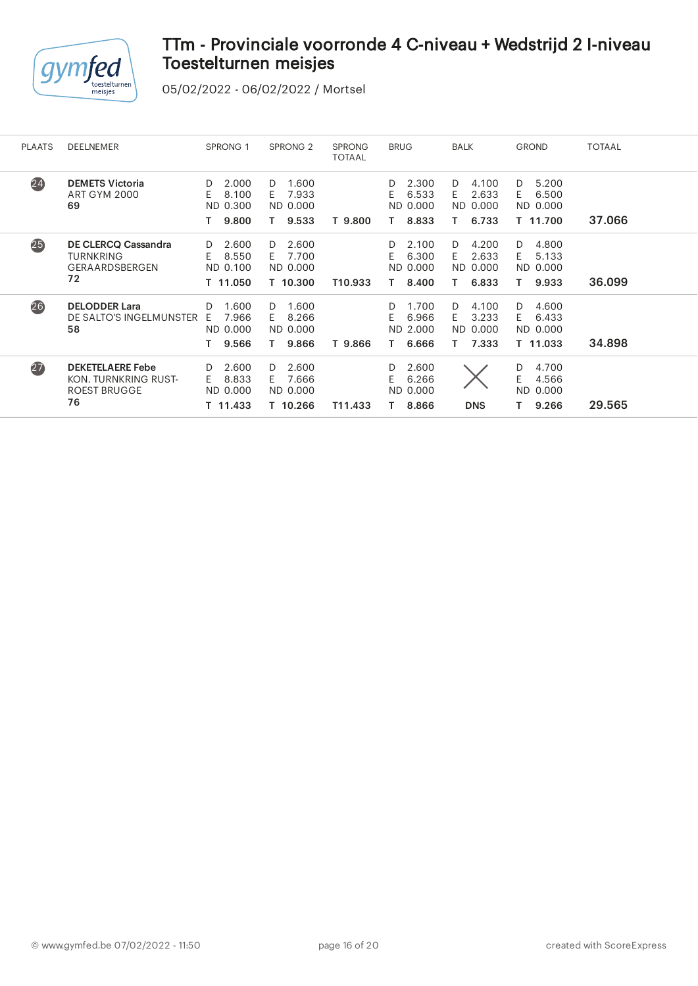

| <b>PLAATS</b> | <b>DEELNEMER</b>                                                             | SPRONG <sub>1</sub>                                | SPRONG <sub>2</sub>                                | <b>SPRONG</b><br><b>TOTAAL</b> | <b>BRUG</b>                                     | <b>BALK</b>                                    | <b>GROND</b>                                      | <b>TOTAAL</b> |
|---------------|------------------------------------------------------------------------------|----------------------------------------------------|----------------------------------------------------|--------------------------------|-------------------------------------------------|------------------------------------------------|---------------------------------------------------|---------------|
| (24)          | <b>DEMETS Victoria</b><br><b>ART GYM 2000</b><br>69                          | 2.000<br>D.<br>E.<br>8.100<br>ND 0.300<br>9.800    | 1.600<br>D<br>7.933<br>F.<br>ND 0.000<br>9.533     | T 9.800                        | 2.300<br>D.<br>E.<br>6.533<br>ND 0.000<br>8.833 | 4.100<br>D<br>E.<br>2.633<br>ND 0.000<br>6.733 | D<br>5.200<br>E<br>6.500<br>ND 0.000<br>T 11.700  | 37.066        |
| 25)           | DE CLERCQ Cassandra<br><b>TURNKRING</b><br>GERAARDSBERGEN<br>72              | 2.600<br>D.<br>8.550<br>E.<br>ND 0.100<br>T 11.050 | 2.600<br>D.<br>7.700<br>F.<br>ND 0.000<br>T 10.300 | T10.933                        | D.<br>2.100<br>E.<br>6.300<br>ND 0.000<br>8.400 | D<br>4.200<br>2.633<br>E.<br>ND 0.000<br>6.833 | D<br>4.800<br>E<br>5.133<br>ND 0.000<br>9.933     | 36.099        |
| (26)          | <b>DELODDER Lara</b><br>DE SALTO'S INGELMUNSTER<br>58                        | 1.600<br>D.<br>7.966<br>F.<br>ND 0.000<br>9.566    | 1.600<br>D.<br>8.266<br>F.<br>ND 0.000<br>9.866    | T 9.866                        | 1.700<br>D.<br>F.<br>6.966<br>ND 2.000<br>6.666 | D<br>4.100<br>3.233<br>F.<br>ND 0.000<br>7.333 | D<br>4.600<br>E<br>6.433<br>ND 0.000<br>T 11.033  | 34.898        |
| (27)          | <b>DEKETELAERE Febe</b><br>KON. TURNKRING RUST-<br><b>ROEST BRUGGE</b><br>76 | 2.600<br>D.<br>8.833<br>F.<br>ND 0.000<br>T 11.433 | 2.600<br>D.<br>7.666<br>F.<br>ND 0.000<br>T 10.266 | T11.433                        | 2.600<br>D.<br>E<br>6.266<br>ND 0.000<br>8.866  | <b>DNS</b>                                     | 4.700<br>D<br>Е<br>4.566<br>ND.<br>0.000<br>9.266 | 29.565        |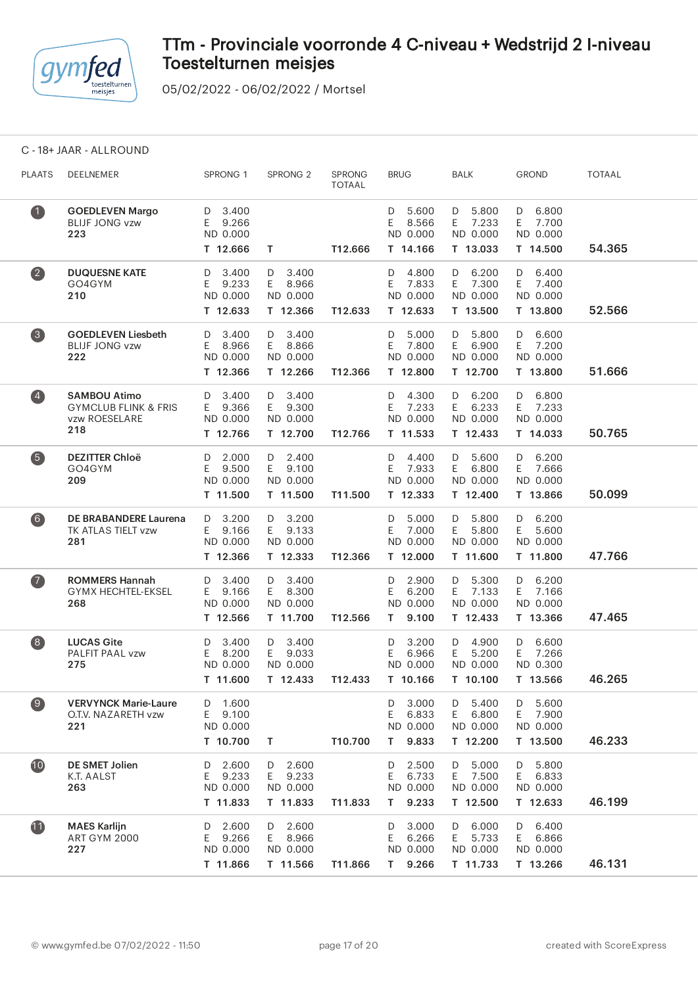

05/02/2022 - 06/02/2022 / Mortsel

C - 18+ JAAR - ALLROUND

| <b>PLAATS</b>      | DEELNEMER                                                                      | SPRONG 1                                          | SPRONG <sub>2</sub>                               | <b>SPRONG</b><br><b>TOTAAL</b> | <b>BRUG</b>                                         | <b>BALK</b>                                       | <b>GROND</b>                                      | <b>TOTAAL</b> |  |
|--------------------|--------------------------------------------------------------------------------|---------------------------------------------------|---------------------------------------------------|--------------------------------|-----------------------------------------------------|---------------------------------------------------|---------------------------------------------------|---------------|--|
| $\bullet$          | <b>GOEDLEVEN Margo</b><br><b>BLIJF JONG vzw</b><br>223                         | 3.400<br>D<br>E<br>9.266<br>ND 0.000              |                                                   |                                | 5.600<br>D<br>8.566<br>E.<br>ND 0.000               | 5.800<br>D<br>E 7.233<br>ND 0.000                 | 6.800<br>D<br>E<br>7.700<br>ND 0.000              | 54.365        |  |
|                    |                                                                                | T 12.666                                          | T                                                 | T12.666                        | T 14.166                                            | T 13.033                                          | T 14.500                                          |               |  |
| $\left( 2\right)$  | <b>DUQUESNE KATE</b><br>GO4GYM<br>210                                          | 3.400<br>D<br>E<br>9.233<br>ND 0.000              | 3.400<br>D<br>E<br>8.966<br>ND 0.000              |                                | 4.800<br>D<br>Ε<br>7.833<br>ND 0.000                | D<br>6.200<br>E.<br>7.300<br>ND 0.000             | 6.400<br>D<br>E<br>7.400<br>ND 0.000              |               |  |
|                    |                                                                                | T 12.633                                          | T 12.366                                          | T12.633                        | T 12.633                                            | T 13.500                                          | T 13.800                                          | 52.566        |  |
| $\left( 3 \right)$ | <b>GOEDLEVEN Liesbeth</b><br><b>BLIJF JONG vzw</b><br>222                      | 3.400<br>D<br>8.966<br>E.<br>ND 0.000<br>T 12.366 | $D$ 3.400<br>8.866<br>E.<br>ND 0.000<br>T 12.266  | T12.366                        | 5.000<br>D<br>7.800<br>E.<br>ND 0.000<br>T 12.800   | D 5.800<br>6.900<br>E.<br>ND 0.000<br>T 12.700    | 6.600<br>D<br>7.200<br>E.<br>ND 0.000<br>T 13.800 | 51.666        |  |
| $\overline{4}$     | <b>SAMBOU Atimo</b><br><b>GYMCLUB FLINK &amp; FRIS</b><br>vzw ROESELARE<br>218 | 3.400<br>D<br>E.<br>9.366<br>ND 0.000<br>T 12.766 | 3.400<br>D<br>E.<br>9.300<br>ND 0.000<br>T 12.700 | T12.766                        | 4.300<br>D<br>E.<br>7.233<br>ND 0.000<br>T 11.533   | 6.200<br>D<br>E.<br>6.233<br>ND 0.000<br>T 12.433 | 6.800<br>D<br>E<br>7.233<br>ND 0.000<br>T 14.033  | 50.765        |  |
| $\left(5\right)$   | <b>DEZITTER Chloë</b><br>GO4GYM<br>209                                         | 2.000<br>D<br>E<br>9.500<br>ND 0.000<br>T 11.500  | 2.400<br>D<br>9.100<br>E.<br>ND 0.000<br>T 11.500 | T11.500                        | 4.400<br>D<br>7.933<br>E.<br>ND 0.000<br>T 12.333   | 5.600<br>D<br>6.800<br>E.<br>ND 0.000<br>T 12.400 | 6.200<br>D<br>E<br>7.666<br>ND 0.000<br>T 13.866  | 50.099        |  |
| $\left( 6\right)$  | DE BRABANDERE Laurena<br>TK ATLAS TIELT vzw<br>281                             | 3.200<br>D<br>E.<br>9.166<br>ND 0.000<br>T 12.366 | 3.200<br>D<br>E<br>9.133<br>ND 0.000<br>T 12.333  | T12.366                        | 5.000<br>D<br>7.000<br>E<br>ND 0.000<br>T 12.000    | 5.800<br>D<br>5.800<br>E.<br>ND 0.000<br>T 11.600 | 6.200<br>D<br>E<br>5.600<br>ND 0.000<br>T 11.800  | 47.766        |  |
| $\bullet$          | <b>ROMMERS Hannah</b><br>GYMX HECHTEL-EKSEL<br>268                             | 3.400<br>D<br>9.166<br>E.<br>ND 0.000<br>T 12.566 | $D$ 3.400<br>8.300<br>E.<br>ND 0.000<br>T 11.700  | T12.566                        | 2.900<br>D<br>6.200<br>E.<br>ND 0.000<br>9.100<br>т | 5.300<br>D<br>7.133<br>E.<br>ND 0.000<br>T 12.433 | 6.200<br>D<br>E<br>7.166<br>ND 0.000<br>T 13.366  | 47.465        |  |
| $\left( 8\right)$  | <b>LUCAS Gite</b><br>PALFIT PAAL vzw<br>275                                    | 3.400<br>D<br>E.<br>8.200<br>ND 0.000<br>T 11.600 | 3.400<br>D<br>E.<br>9.033<br>ND 0.000<br>T 12.433 | T12.433                        | 3.200<br>D<br>E.<br>6.966<br>ND 0.000<br>T 10.166   | 4.900<br>D<br>E.<br>5.200<br>ND 0.000<br>T 10.100 | 6.600<br>D<br>E<br>7.266<br>ND 0.300<br>T 13.566  | 46.265        |  |
| $\left(9\right)$   | <b>VERVYNCK Marie-Laure</b><br>O.T.V. NAZARETH vzw<br>221                      | 1.600<br>D<br>9.100<br>E<br>ND 0.000<br>T 10.700  | T.                                                | T10.700                        | 3.000<br>D<br>6.833<br>E<br>ND 0.000<br>9.833<br>T. | 5.400<br>D<br>E.<br>6.800<br>ND 0.000<br>T 12.200 | 5.600<br>D<br>E.<br>7.900<br>ND 0.000<br>T 13.500 | 46.233        |  |
| 10                 | DE SMET Jolien<br>K.T. AALST<br>263                                            | 2.600<br>D<br>9.233<br>E.<br>ND 0.000<br>T 11.833 | 2.600<br>D<br>9.233<br>E.<br>ND 0.000<br>T 11.833 | T11.833                        | 2.500<br>D<br>6.733<br>Ε<br>ND 0.000<br>9.233<br>T. | D<br>5.000<br>E 7.500<br>ND 0.000<br>T 12.500     | 5.800<br>D<br>6.833<br>E.<br>ND 0.000<br>T 12.633 | 46.199        |  |
| 11                 | <b>MAES Karlijn</b><br><b>ART GYM 2000</b><br>227                              | 2.600<br>D<br>9.266<br>E<br>ND 0.000<br>T 11.866  | 2.600<br>D<br>8.966<br>E.<br>ND 0.000<br>T 11.566 | T11.866                        | 3.000<br>D<br>6.266<br>Ε<br>ND 0.000<br>9.266<br>Τ  | 6.000<br>D<br>5.733<br>E.<br>ND 0.000<br>T 11.733 | 6.400<br>D<br>6.866<br>E.<br>ND 0.000<br>T 13.266 | 46.131        |  |
|                    |                                                                                |                                                   |                                                   |                                |                                                     |                                                   |                                                   |               |  |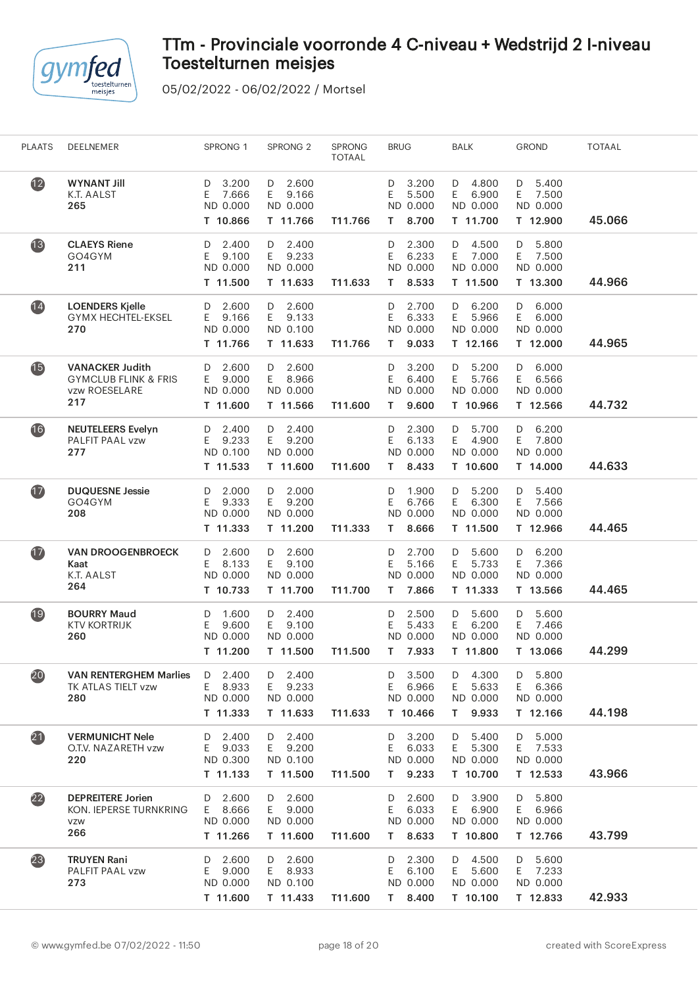

| <b>PLAATS</b>            | DEELNEMER                                                                         | SPRONG 1                                          | SPRONG <sub>2</sub>                               | <b>SPRONG</b><br><b>TOTAAL</b> | <b>BRUG</b>                                          | <b>BALK</b>                                       | <b>GROND</b>                                      | TOTAAL |  |
|--------------------------|-----------------------------------------------------------------------------------|---------------------------------------------------|---------------------------------------------------|--------------------------------|------------------------------------------------------|---------------------------------------------------|---------------------------------------------------|--------|--|
| $\mathbf{12}$            | <b>WYNANT Jill</b><br>K.T. AALST<br>265                                           | 3.200<br>D<br>7.666<br>E<br>ND 0.000<br>T 10.866  | D 2.600<br>9.166<br>E.<br>ND 0.000<br>T 11.766    | T11.766                        | 3.200<br>D<br>5.500<br>E.<br>ND 0.000<br>8.700<br>T. | D 4.800<br>6.900<br>E.<br>ND 0.000<br>T 11.700    | 5.400<br>D<br>7.500<br>E.<br>ND 0.000<br>T 12.900 | 45.066 |  |
| 13                       | <b>CLAEYS Riene</b><br>GO4GYM<br>211                                              | 2.400<br>D<br>Е<br>9.100<br>ND 0.000<br>T 11.500  | 2.400<br>D<br>E.<br>9.233<br>ND 0.000<br>T 11.633 | T11.633                        | 2.300<br>D<br>Ε<br>6.233<br>ND 0.000<br>8.533<br>T.  | 4.500<br>D<br>E.<br>7.000<br>ND 0.000<br>T 11.500 | 5.800<br>D<br>Е<br>7.500<br>ND 0.000<br>T 13.300  | 44.966 |  |
| $\overline{14}$          | <b>LOENDERS Kjelle</b><br><b>GYMX HECHTEL-EKSEL</b><br>270                        | 2.600<br>D<br>E.<br>9.166<br>ND 0.000<br>T 11.766 | 2.600<br>D<br>E 9.133<br>ND 0.100<br>T 11.633     | T11.766                        | 2.700<br>D<br>Ε<br>6.333<br>ND 0.000<br>9.033<br>T.  | 6.200<br>D<br>E.<br>5.966<br>ND 0.000<br>T 12.166 | 6.000<br>D<br>6.000<br>E.<br>ND 0.000<br>T 12.000 | 44.965 |  |
| $\overline{\mathbf{15}}$ | <b>VANACKER Judith</b><br><b>GYMCLUB FLINK &amp; FRIS</b><br>vzw ROESELARE<br>217 | 2.600<br>D<br>9.000<br>E.<br>ND 0.000<br>T 11.600 | D<br>2.600<br>E<br>8.966<br>ND 0.000<br>T 11.566  | T11.600                        | 3.200<br>D<br>Ε<br>6.400<br>ND 0.000<br>9.600<br>Τ   | 5.200<br>D<br>E<br>5.766<br>ND 0.000<br>T 10.966  | D<br>6.000<br>Ε<br>6.566<br>ND 0.000<br>T 12.566  | 44.732 |  |
| $\overline{16}$          | <b>NEUTELEERS Evelyn</b><br>PALFIT PAAL vzw<br>277                                | 2.400<br>D<br>9.233<br>E.<br>ND 0.100<br>T 11.533 | D 2.400<br>9.200<br>E.<br>ND 0.000<br>T 11.600    | T11.600                        | 2.300<br>D<br>6.133<br>Ε<br>ND 0.000<br>8.433<br>T.  | 5.700<br>D<br>4.900<br>E.<br>ND 0.000<br>T 10.600 | 6.200<br>D<br>7.800<br>E.<br>ND 0.000<br>T 14.000 | 44.633 |  |
| $\bullet$                | <b>DUQUESNE Jessie</b><br>GO4GYM<br>208                                           | 2.000<br>D<br>E.<br>9.333<br>ND 0.000<br>T 11.333 | 2.000<br>D<br>E.<br>9.200<br>ND 0.000<br>T 11.200 | T11.333                        | 1.900<br>D<br>Ε<br>6.766<br>ND 0.000<br>8.666<br>T.  | 5.200<br>D<br>E.<br>6.300<br>ND 0.000<br>T 11.500 | 5.400<br>D<br>E<br>7.566<br>ND 0.000<br>T 12.966  | 44.465 |  |
| $\bf \Phi$               | <b>VAN DROOGENBROECK</b><br>Kaat<br>K.T. AALST<br>264                             | 2.600<br>D<br>8.133<br>E.<br>ND 0.000<br>T 10.733 | 2.600<br>D<br>E.<br>9.100<br>ND 0.000<br>T 11.700 | T11.700                        | 2.700<br>D<br>5.166<br>Ε<br>ND 0.000<br>T.<br>7.866  | 5.600<br>D<br>E.<br>5.733<br>ND 0.000<br>T 11.333 | 6.200<br>D<br>7.366<br>E.<br>ND 0.000<br>T 13.566 | 44.465 |  |
| 19                       | <b>BOURRY Maud</b><br><b>KTV KORTRIJK</b><br>260                                  | 1.600<br>D<br>E<br>9.600<br>ND 0.000<br>T 11.200  | D<br>2.400<br>E.<br>9.100<br>ND 0.000<br>T 11.500 | T11.500                        | 2.500<br>D<br>Ε<br>5.433<br>ND 0.000<br>7.933<br>T.  | D<br>5.600<br>E<br>6.200<br>ND 0.000<br>T 11.800  | 5.600<br>D<br>Ε<br>7.466<br>ND 0.000<br>T 13.066  | 44.299 |  |
| 20                       | <b>VAN RENTERGHEM Marlies</b><br>TK ATLAS TIELT vzw<br>280                        | $D$ 2.400<br>8.933<br>E.<br>ND 0.000<br>T 11.333  | 2.400<br>D<br>9.233<br>E.<br>ND 0.000<br>T 11.633 | T11.633                        | 3.500<br>D<br>6.966<br>E.<br>ND 0.000<br>T 10.466    | 4.300<br>D<br>5.633<br>E.<br>ND 0.000<br>T 9.933  | 5.800<br>D<br>6.366<br>E.<br>ND 0.000<br>T 12.166 | 44.198 |  |
| $\boldsymbol{21}$        | <b>VERMUNICHT Nele</b><br>O.T.V. NAZARETH vzw<br>220                              | 2.400<br>D<br>E 9.033<br>ND 0.300<br>T 11.133     | 2.400<br>D<br>E 9.200<br>ND 0.100<br>T 11.500     | T11.500                        | 3.200<br>D<br>E<br>6.033<br>ND 0.000<br>9.233<br>T.  | 5.400<br>D<br>E.<br>5.300<br>ND 0.000<br>T 10.700 | 5.000<br>D<br>Ε<br>7.533<br>ND 0.000<br>T 12.533  | 43.966 |  |
| $\overline{22}$          | <b>DEPREITERE Jorien</b><br>KON. IEPERSE TURNKRING<br>VZW<br>266                  | 2.600<br>D<br>E 8.666<br>ND 0.000<br>T 11.266     | D 2.600<br>E 9.000<br>ND 0.000<br>T 11.600        | T11.600                        | 2.600<br>D<br>E.<br>6.033<br>ND 0.000<br>8.633<br>T. | 3.900<br>D<br>E.<br>6.900<br>ND 0.000<br>T 10.800 | 5.800<br>D<br>E 6.966<br>ND 0.000<br>T 12.766     | 43.799 |  |
| 23                       | <b>TRUYEN Rani</b><br>PALFIT PAAL vzw<br>273                                      | 2.600<br>D<br>9.000<br>E.<br>ND 0.000<br>T 11.600 | 2.600<br>D<br>E 8.933<br>ND 0.100<br>T 11.433     | T11.600                        | 2.300<br>D<br>E<br>6.100<br>ND 0.000<br>T 8.400      | D 4.500<br>E.<br>5.600<br>ND 0.000<br>T 10.100    | 5.600<br>D<br>7.233<br>E.<br>ND 0.000<br>T 12.833 | 42.933 |  |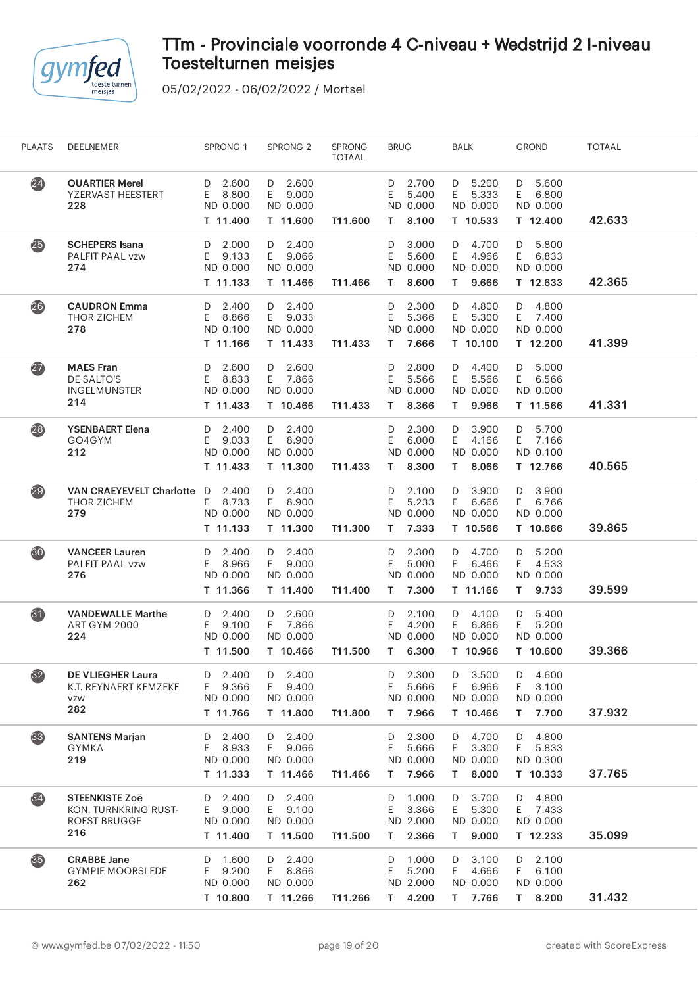

| <b>PLAATS</b>   | DEELNEMER                                                                   | SPRONG 1                                          | SPRONG <sub>2</sub>                               | <b>SPRONG</b><br><b>TOTAAL</b> | <b>BRUG</b>                                         | <b>BALK</b>                                          | <b>GROND</b>                                        | <b>TOTAAL</b> |
|-----------------|-----------------------------------------------------------------------------|---------------------------------------------------|---------------------------------------------------|--------------------------------|-----------------------------------------------------|------------------------------------------------------|-----------------------------------------------------|---------------|
| (24)            | <b>QUARTIER Merel</b><br>YZERVAST HEESTERT<br>228                           | 2.600<br>D<br>8.800<br>E.<br>ND 0.000<br>T 11.400 | $D$ 2.600<br>E.<br>9.000<br>ND 0.000<br>T 11.600  | T11.600                        | 2.700<br>D<br>5.400<br>E<br>ND 0.000<br>8.100<br>T. | D 5.200<br>E<br>5.333<br>ND 0.000<br>T 10.533        | 5.600<br>D<br>E<br>6.800<br>ND 0.000<br>T 12.400    | 42.633        |
| 25              | <b>SCHEPERS</b> Isana<br>PALFIT PAAL vzw<br>274                             | 2.000<br>D<br>E<br>9.133<br>ND 0.000<br>T 11.133  | 2.400<br>D<br>E.<br>9.066<br>ND 0.000<br>T 11.466 | T11.466                        | 3.000<br>D<br>Ε<br>5.600<br>ND 0.000<br>8.600<br>т  | D<br>4.700<br>E<br>4.966<br>ND 0.000<br>9.666<br>T.  | 5.800<br>D<br>E<br>6.833<br>ND 0.000<br>T 12.633    | 42.365        |
| (26)            | <b>CAUDRON</b> Emma<br>THOR ZICHEM<br>278                                   | 2.400<br>D<br>8.866<br>E<br>ND 0.100<br>T 11.166  | 2.400<br>D<br>E.<br>9.033<br>ND 0.000<br>T 11.433 | T11.433                        | 2.300<br>D<br>E<br>5.366<br>ND 0.000<br>7.666<br>T. | D<br>4.800<br>E.<br>5.300<br>ND 0.000<br>T 10.100    | 4.800<br>D<br>7.400<br>E.<br>ND 0.000<br>T 12.200   | 41.399        |
| (27)            | <b>MAES Fran</b><br>DE SALTO'S<br><b>INGELMUNSTER</b><br>214                | 2.600<br>D<br>8.833<br>Ε<br>ND 0.000<br>T 11.433  | D 2.600<br>E 7.866<br>ND 0.000<br>T 10.466        | T11.433                        | 2.800<br>D<br>5.566<br>Ε<br>ND 0.000<br>8.366<br>т  | D<br>4.400<br>5.566<br>E<br>ND 0.000<br>9.966<br>T.  | 5.000<br>D<br>E<br>6.566<br>ND 0.000<br>T 11.566    | 41.331        |
| (28)            | <b>YSENBAERT Elena</b><br>GO4GYM<br>212                                     | 2.400<br>D<br>9.033<br>E.<br>ND 0.000<br>T 11.433 | D 2.400<br>8.900<br>E.<br>ND 0.000<br>T 11.300    | T11.433                        | 2.300<br>D<br>Ε<br>6.000<br>ND 0.000<br>8.300<br>T. | D<br>3.900<br>E<br>4.166<br>ND 0.000<br>8.066<br>T.  | 5.700<br>D<br>7.166<br>E<br>ND 0.100<br>T 12.766    | 40.565        |
| $\overline{29}$ | VAN CRAEYEVELT Charlotte D<br>THOR ZICHEM<br>279                            | 2.400<br>E 8.733<br>ND 0.000<br>T 11.133          | D 2.400<br>E.<br>8.900<br>ND 0.000<br>T 11.300    | T11.300                        | 2.100<br>D<br>Ε<br>5.233<br>ND 0.000<br>7.333<br>T. | 3.900<br>D<br>E.<br>6.666<br>ND 0.000<br>T 10.566    | 3.900<br>D<br>E<br>6.766<br>ND 0.000<br>T 10.666    | 39.865        |
| 30              | <b>VANCEER Lauren</b><br>PALFIT PAAL vzw<br>276                             | 2.400<br>D<br>8.966<br>Ε<br>ND 0.000<br>T 11.366  | 2.400<br>D<br>9.000<br>E.<br>ND 0.000<br>T 11.400 | T11.400                        | 2.300<br>D<br>5.000<br>Ε<br>ND 0.000<br>7.300<br>T. | D<br>4.700<br>E<br>6.466<br>ND 0.000<br>T 11.166     | 5.200<br>D<br>E<br>4.533<br>ND 0.000<br>T.<br>9.733 | 39.599        |
| $\bf{31}$       | <b>VANDEWALLE Marthe</b><br>ART GYM 2000<br>224                             | 2.400<br>D<br>9.100<br>E<br>ND 0.000<br>T 11.500  | 2.600<br>D<br>E.<br>7.866<br>ND 0.000<br>T 10.466 | T11.500                        | 2.100<br>D<br>Ε<br>4.200<br>ND 0.000<br>6.300<br>T. | D 4.100<br>6.866<br>E.<br>ND 0.000<br>T 10.966       | 5.400<br>D<br>5.200<br>E<br>ND 0.000<br>T 10.600    | 39.366        |
| $\overline{32}$ | <b>DE VLIEGHER Laura</b><br>K.T. REYNAERT KEMZEKE<br>VZW<br>282             | 2.400<br>D<br>9.366<br>E.<br>ND 0.000<br>T 11.766 | 2.400<br>D<br>9.400<br>E.<br>ND 0.000<br>T 11.800 | T11.800                        | 2.300<br>D<br>Ε<br>5.666<br>ND 0.000<br>7.966<br>T. | 3.500<br>D<br>6.966<br>E.<br>ND 0.000<br>T 10.466    | 4.600<br>D<br>E<br>3.100<br>ND 0.000<br>7.700<br>T. | 37.932        |
| (33)            | <b>SANTENS Marjan</b><br><b>GYMKA</b><br>219                                | 2.400<br>D<br>8.933<br>E.<br>ND 0.000<br>T 11.333 | 2.400<br>D<br>E.<br>9.066<br>ND 0.000<br>T 11.466 | T11.466                        | 2.300<br>D<br>Ε<br>5.666<br>ND 0.000<br>7.966<br>T. | 4.700<br>D<br>Ε<br>3.300<br>ND 0.000<br>8.000<br>T.  | 4.800<br>D<br>E<br>5.833<br>ND 0.300<br>T 10.333    | 37.765        |
| $\overline{34}$ | <b>STEENKISTE Zoë</b><br>KON. TURNKRING RUST-<br><b>ROEST BRUGGE</b><br>216 | 2.400<br>D<br>9.000<br>E.<br>ND 0.000<br>T 11.400 | 2.400<br>D<br>9.100<br>E.<br>ND 0.000<br>T 11.500 | T11.500                        | 1.000<br>D<br>E<br>3.366<br>ND 2.000<br>2.366<br>T. | 3.700<br>D<br>E.<br>5.300<br>ND 0.000<br>9.000<br>T. | 4.800<br>D<br>E 7.433<br>ND 0.000<br>T 12.233       | 35.099        |
| (35)            | <b>CRABBE Jane</b><br><b>GYMPIE MOORSLEDE</b><br>262                        | 1.600<br>D<br>9.200<br>Ε<br>ND 0.000<br>T 10.800  | 2.400<br>D<br>8.866<br>E.<br>ND 0.000<br>T 11.266 | T11.266                        | 1.000<br>D<br>5.200<br>Ε<br>ND 2.000<br>T 4.200     | 3.100<br>D<br>4.666<br>E<br>ND 0.000<br>T 7.766      | 2.100<br>D<br>6.100<br>E.<br>ND 0.000<br>T 8.200    | 31.432        |
|                 |                                                                             |                                                   |                                                   |                                |                                                     |                                                      |                                                     |               |